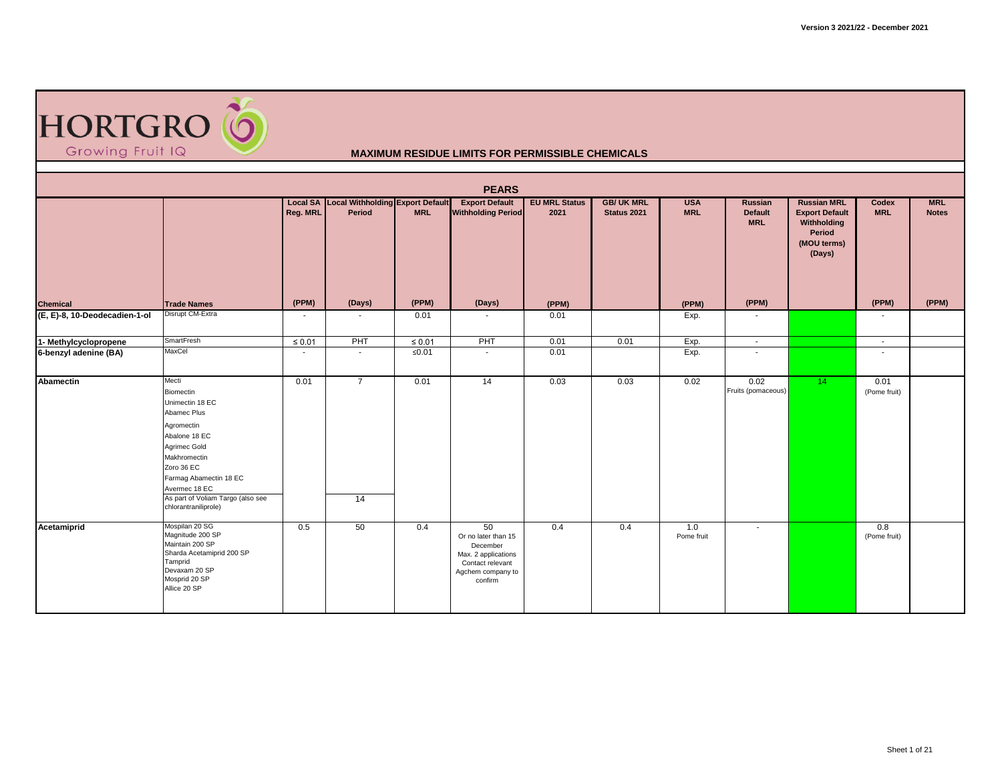

|                               | <b>PEARS</b><br><b>Local SA Local Withholding Export Default</b><br><b>MRL</b><br><b>Export Default</b><br><b>EU MRL Status</b><br><b>GB/ UK MRL</b><br><b>USA</b><br><b>Russian MRL</b><br>Russian<br>Codex                              |                |                          |             |                                                                                                                  |       |             |                   |                              |                                                                         |                      |              |  |  |  |
|-------------------------------|-------------------------------------------------------------------------------------------------------------------------------------------------------------------------------------------------------------------------------------------|----------------|--------------------------|-------------|------------------------------------------------------------------------------------------------------------------|-------|-------------|-------------------|------------------------------|-------------------------------------------------------------------------|----------------------|--------------|--|--|--|
|                               |                                                                                                                                                                                                                                           | Reg. MRL       | Period                   | <b>MRL</b>  | <b>Withholding Period</b>                                                                                        | 2021  | Status 2021 | <b>MRL</b>        | <b>Default</b><br><b>MRL</b> | <b>Export Default</b><br>Withholding<br>Period<br>(MOU terms)<br>(Days) | <b>MRL</b>           | <b>Notes</b> |  |  |  |
| <b>Chemical</b>               | <b>Trade Names</b>                                                                                                                                                                                                                        | (PPM)          | (Days)                   | (PPM)       | (Days)                                                                                                           | (PPM) |             | (PPM)             | (PPM)                        |                                                                         | (PPM)                | (PPM)        |  |  |  |
| (E, E)-8, 10-Deodecadien-1-ol | Disrupt CM-Extra                                                                                                                                                                                                                          | $\blacksquare$ | $\overline{\phantom{a}}$ | 0.01        | $\sim$                                                                                                           | 0.01  |             | Exp.              |                              |                                                                         | $\blacksquare$       |              |  |  |  |
| 1- Methylcyclopropene         | SmartFresh                                                                                                                                                                                                                                | $\leq 0.01$    | PHT                      | $\leq 0.01$ | PHT                                                                                                              | 0.01  | 0.01        | Exp.              | $\sim$                       |                                                                         | $\sim$               |              |  |  |  |
| 6-benzyl adenine (BA)         | MaxCel                                                                                                                                                                                                                                    | $\blacksquare$ | $\sim$                   | $≤0.01$     | $\sim$                                                                                                           | 0.01  |             | Exp.              | $\overline{\phantom{a}}$     |                                                                         | $\blacksquare$       |              |  |  |  |
| <b>Abamectin</b>              | Mecti<br>Biomectin<br>Unimectin 18 EC<br>Abamec Plus<br>Agromectin<br>Abalone 18 EC<br>Agrimec Gold<br>Makhromectin<br>Zoro 36 EC<br>Farmag Abamectin 18 EC<br>Avermec 18 EC<br>As part of Voliam Targo (also see<br>chlorantraniliprole) | 0.01           | $\overline{7}$<br>14     | 0.01        | 14                                                                                                               | 0.03  | 0.03        | 0.02              | 0.02<br>Fruits (pomaceous)   | 14 <sup>°</sup>                                                         | 0.01<br>(Pome fruit) |              |  |  |  |
| Acetamiprid                   | Mospilan 20 SG<br>Magnitude 200 SP<br>Maintain 200 SP<br>Sharda Acetamiprid 200 SP<br>Tamprid<br>Devaxam 20 SP<br>Mosprid 20 SP<br>Allice 20 SP                                                                                           | 0.5            | 50                       | 0.4         | 50<br>Or no later than 15<br>December<br>Max. 2 applications<br>Contact relevant<br>Agchem company to<br>confirm | 0.4   | 0.4         | 1.0<br>Pome fruit | $\sim$                       |                                                                         | 0.8<br>(Pome fruit)  |              |  |  |  |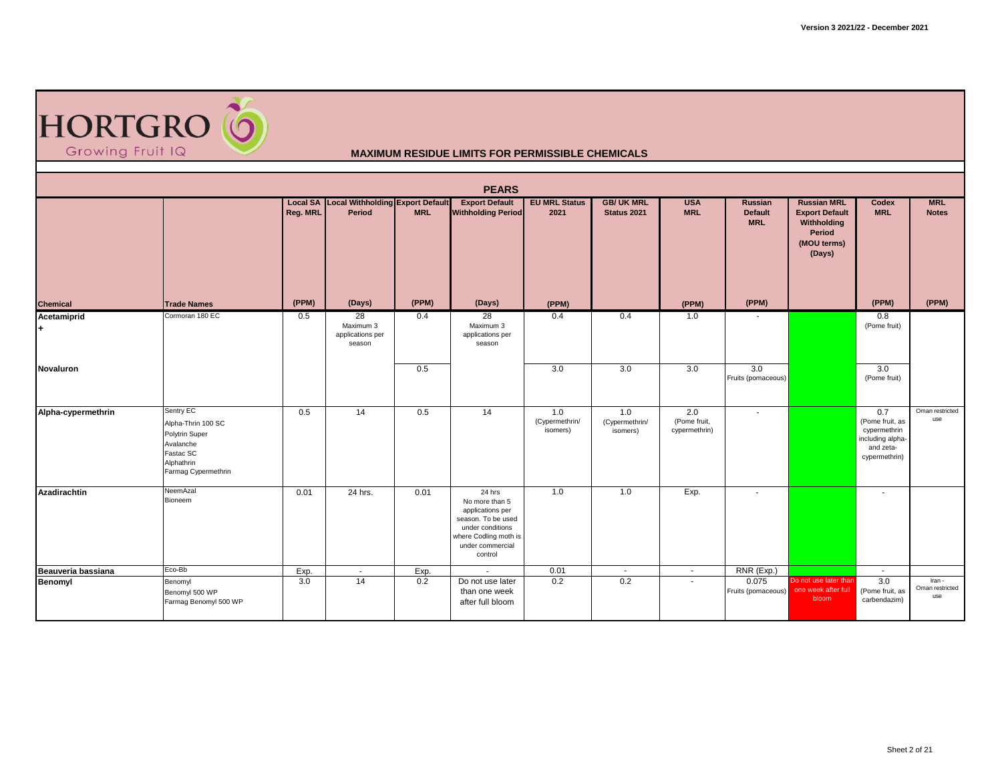

|                          |                                                                                                                  |          |                                                            |            | <b>PEARS</b>                                                                                                                                   |                                   |                                   |                                      |                                         |                                                                                               |                                                                                          |                                  |
|--------------------------|------------------------------------------------------------------------------------------------------------------|----------|------------------------------------------------------------|------------|------------------------------------------------------------------------------------------------------------------------------------------------|-----------------------------------|-----------------------------------|--------------------------------------|-----------------------------------------|-----------------------------------------------------------------------------------------------|------------------------------------------------------------------------------------------|----------------------------------|
|                          |                                                                                                                  | Reg. MRL | <b>Local SA Local Withholding Export Default</b><br>Period | <b>MRL</b> | <b>Export Default</b><br><b>Withholding Period</b>                                                                                             | <b>EU MRL Status</b><br>2021      | <b>GB/ UK MRL</b><br>Status 2021  | <b>USA</b><br><b>MRL</b>             | Russian<br><b>Default</b><br><b>MRL</b> | <b>Russian MRL</b><br><b>Export Default</b><br>Withholding<br>Period<br>(MOU terms)<br>(Days) | Codex<br><b>MRL</b>                                                                      | <b>MRL</b><br><b>Notes</b>       |
| <b>Chemical</b>          | <b>Trade Names</b>                                                                                               | (PPM)    | (Days)                                                     | (PPM)      | (Days)                                                                                                                                         | (PPM)                             |                                   | (PPM)                                | (PPM)                                   |                                                                                               | (PPM)                                                                                    | (PPM)                            |
| Acetamiprid<br>$\ddot{}$ | Cormoran 180 EC                                                                                                  | 0.5      | 28<br>Maximum 3<br>applications per<br>season              | 0.4        | 28<br>Maximum 3<br>applications per<br>season                                                                                                  | 0.4                               | 0.4                               | 1.0                                  |                                         |                                                                                               | 0.8<br>(Pome fruit)                                                                      |                                  |
| Novaluron                |                                                                                                                  |          |                                                            | 0.5        |                                                                                                                                                | 3.0                               | 3.0                               | 3.0                                  | 3.0<br>Fruits (pomaceous)               |                                                                                               | 3.0<br>(Pome fruit)                                                                      |                                  |
| Alpha-cypermethrin       | Sentry EC<br>Alpha-Thrin 100 SC<br>Polytrin Super<br>Avalanche<br>Fastac SC<br>Alphathrin<br>Farmag Cypermethrin | 0.5      | 14                                                         | 0.5        | 14                                                                                                                                             | 1.0<br>(Cypermethrin/<br>isomers) | 1.0<br>(Cypermethrin/<br>isomers) | 2.0<br>(Pome fruit,<br>cypermethrin) | $\overline{\phantom{a}}$                |                                                                                               | 0.7<br>(Pome fruit, as<br>cypermethrin<br>including alpha-<br>and zeta-<br>cypermethrin) | Oman restricted<br>use           |
| Azadirachtin             | NeemAzal<br>Bioneem                                                                                              | 0.01     | 24 hrs.                                                    | 0.01       | 24 hrs<br>No more than 5<br>applications per<br>season. To be used<br>under conditions<br>where Codling moth is<br>under commercial<br>control | 1.0                               | 1.0                               | Exp.                                 | $\blacksquare$                          |                                                                                               | $\overline{a}$                                                                           |                                  |
| Beauveria bassiana       | Eco-Bb                                                                                                           | Exp.     | $\overline{\phantom{a}}$                                   | Exp.       | $\sim$                                                                                                                                         | 0.01                              | $\sim$                            | $\sim$                               | RNR (Exp.)                              |                                                                                               | $\overline{\phantom{a}}$                                                                 |                                  |
| Benomyl                  | Benomyl<br>Benomyl 500 WP<br>Farmag Benomyl 500 WP                                                               | 3.0      | 14                                                         | 0.2        | Do not use later<br>than one week<br>after full bloom                                                                                          | 0.2                               | 0.2                               | $\blacksquare$                       | 0.075<br>Fruits (pomaceous)             | Do not use later than<br>one week after full<br>bloom                                         | 3.0<br>(Pome fruit, as<br>carbendazim)                                                   | Iran -<br>Oman restricted<br>use |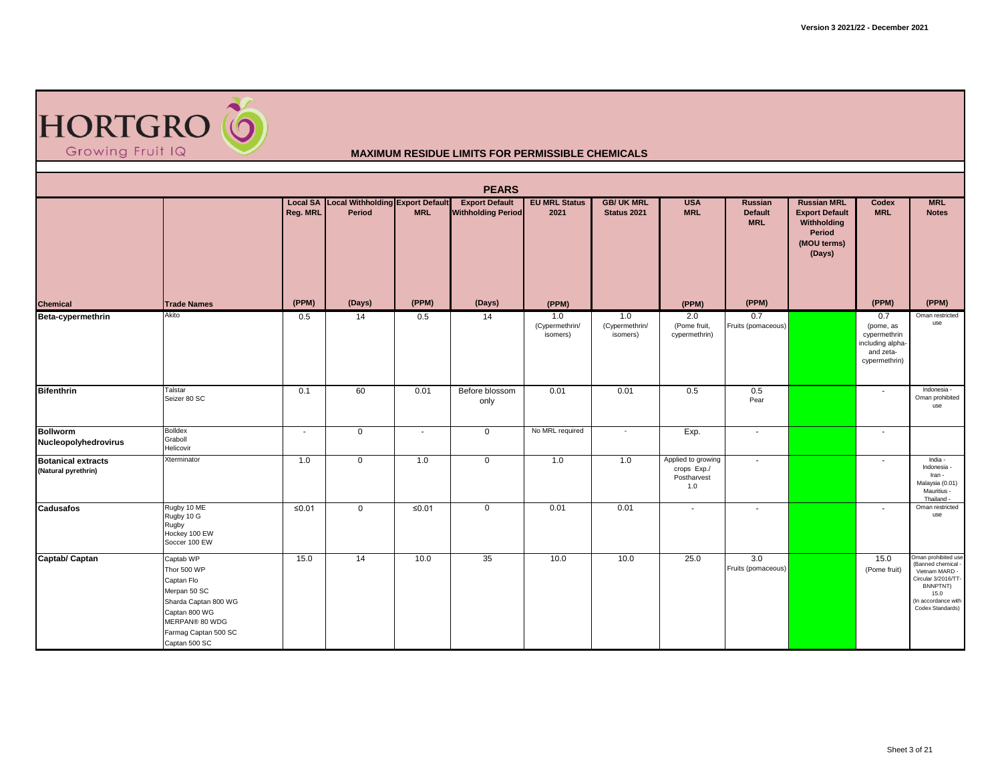

|                                                  |                                                                                                                                                            |          |                                                     |            | <b>PEARS</b>                                       |                                   |                                   |                                                         |                                         |                                                                                               |                                                                                    |                                                                                                                                                 |
|--------------------------------------------------|------------------------------------------------------------------------------------------------------------------------------------------------------------|----------|-----------------------------------------------------|------------|----------------------------------------------------|-----------------------------------|-----------------------------------|---------------------------------------------------------|-----------------------------------------|-----------------------------------------------------------------------------------------------|------------------------------------------------------------------------------------|-------------------------------------------------------------------------------------------------------------------------------------------------|
|                                                  |                                                                                                                                                            | Reg. MRL | Local SA Local Withholding Export Default<br>Period | <b>MRL</b> | <b>Export Default</b><br><b>Withholding Period</b> | <b>EU MRL Status</b><br>2021      | <b>GB/ UK MRL</b><br>Status 2021  | <b>USA</b><br><b>MRL</b>                                | Russian<br><b>Default</b><br><b>MRL</b> | <b>Russian MRL</b><br><b>Export Default</b><br>Withholding<br>Period<br>(MOU terms)<br>(Days) | Codex<br><b>MRL</b>                                                                | <b>MRL</b><br><b>Notes</b>                                                                                                                      |
| <b>Chemical</b>                                  | <b>Trade Names</b>                                                                                                                                         | (PPM)    | (Days)                                              | (PPM)      | (Days)                                             | (PPM)                             |                                   | (PPM)                                                   | (PPM)                                   |                                                                                               | (PPM)                                                                              | (PPM)                                                                                                                                           |
| Beta-cypermethrin                                | Akito                                                                                                                                                      | 0.5      | 14                                                  | 0.5        | 14                                                 | 1.0<br>(Cypermethrin/<br>isomers) | 1.0<br>(Cypermethrin/<br>isomers) | 2.0<br>(Pome fruit,<br>cypermethrin)                    | 0.7<br>Fruits (pomaceous)               |                                                                                               | 0.7<br>(pome, as<br>cypermethrin<br>including alpha-<br>and zeta-<br>cypermethrin) | Oman restricted<br>use                                                                                                                          |
| <b>Bifenthrin</b>                                | Talstar<br>Seizer 80 SC                                                                                                                                    | 0.1      | 60                                                  | 0.01       | Before blossom<br>only                             | 0.01                              | 0.01                              | 0.5                                                     | 0.5<br>Pear                             |                                                                                               | $\sim$                                                                             | Indonesia -<br>Oman prohibited<br>use                                                                                                           |
| <b>Bollworm</b><br>Nucleopolyhedrovirus          | <b>Bolldex</b><br>Graboll<br>Helicovir                                                                                                                     | $\sim$   | $\mathbf 0$                                         | $\sim$     | $\mathbf 0$                                        | No MRL required                   | $\sim$                            | Exp.                                                    | $\blacksquare$                          |                                                                                               | $\overline{\phantom{a}}$                                                           |                                                                                                                                                 |
| <b>Botanical extracts</b><br>(Natural pyrethrin) | Xterminator                                                                                                                                                | 1.0      | $\mathbf 0$                                         | 1.0        | $\mathbf 0$                                        | 1.0                               | 1.0                               | Applied to growing<br>crops Exp./<br>Postharvest<br>1.0 | $\blacksquare$                          |                                                                                               | $\overline{\phantom{a}}$                                                           | India -<br>Indonesia<br>Iran -<br>Malaysia (0.01)<br>Mauritius -<br>Thailand -                                                                  |
| <b>Cadusafos</b>                                 | Rugby 10 ME<br>Rugby 10 G<br>Rugby<br>Hockey 100 EW<br>Soccer 100 EW                                                                                       | $≤0.01$  | $\mathbf 0$                                         | $≤0.01$    | $\mathbf 0$                                        | 0.01                              | 0.01                              | $\overline{\phantom{a}}$                                | $\overline{\phantom{a}}$                |                                                                                               | $\overline{\phantom{a}}$                                                           | Oman restricted<br>use                                                                                                                          |
| Captab/ Captan                                   | Captab WP<br>Thor 500 WP<br>Captan Flo<br>Merpan 50 SC<br>Sharda Captan 800 WG<br>Captan 800 WG<br>MERPAN® 80 WDG<br>Farmag Captan 500 SC<br>Captan 500 SC | 15.0     | 14                                                  | 10.0       | 35                                                 | 10.0                              | 10.0                              | 25.0                                                    | 3.0<br>Fruits (pomaceous)               |                                                                                               | 15.0<br>(Pome fruit)                                                               | Oman prohibited use<br>(Banned chemical<br>Vietnam MARD -<br>Circular 3/2016/TT-<br>BNNPTNT)<br>15.0<br>(In accordance with<br>Codex Standards) |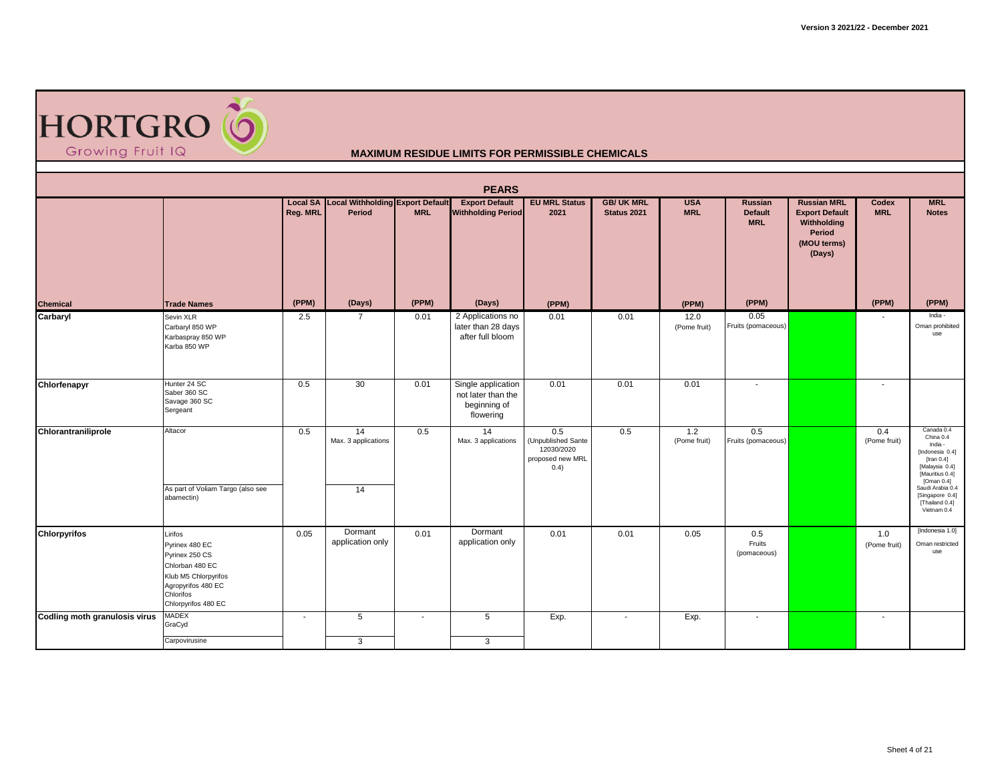

|                               |                                                                                                                                                  |                          |                                                            |            | <b>PEARS</b>                                                          |                                                                     |                                  |                          |                                                |                                                                                               |                     |                                                                                                                                                                                                         |
|-------------------------------|--------------------------------------------------------------------------------------------------------------------------------------------------|--------------------------|------------------------------------------------------------|------------|-----------------------------------------------------------------------|---------------------------------------------------------------------|----------------------------------|--------------------------|------------------------------------------------|-----------------------------------------------------------------------------------------------|---------------------|---------------------------------------------------------------------------------------------------------------------------------------------------------------------------------------------------------|
|                               |                                                                                                                                                  | Reg. MRL                 | <b>Local SA Local Withholding Export Default</b><br>Period | <b>MRL</b> | <b>Export Default</b><br><b>Withholding Period</b>                    | <b>EU MRL Status</b><br>2021                                        | <b>GB/ UK MRL</b><br>Status 2021 | <b>USA</b><br><b>MRL</b> | <b>Russian</b><br><b>Default</b><br><b>MRL</b> | <b>Russian MRL</b><br><b>Export Default</b><br>Withholding<br>Period<br>(MOU terms)<br>(Days) | Codex<br><b>MRL</b> | <b>MRL</b><br><b>Notes</b>                                                                                                                                                                              |
| <b>Chemical</b>               | <b>Trade Names</b>                                                                                                                               | (PPM)                    | (Days)                                                     | (PPM)      | (Days)                                                                | (PPM)                                                               |                                  | (PPM)                    | (PPM)                                          |                                                                                               | (PPM)               | (PPM)                                                                                                                                                                                                   |
| Carbaryl                      | Sevin XLR<br>Carbaryl 850 WP<br>Karbaspray 850 WP<br>Karba 850 WP                                                                                | 2.5                      | 7                                                          | 0.01       | 2 Applications no<br>later than 28 days<br>after full bloom           | 0.01                                                                | 0.01                             | 12.0<br>(Pome fruit)     | 0.05<br>Fruits (pomaceous)                     |                                                                                               |                     | India -<br>Oman prohibited<br>use                                                                                                                                                                       |
| Chlorfenapyr                  | Hunter 24 SC<br>Saber 360 SC<br>Savage 360 SC<br>Sergeant                                                                                        | 0.5                      | 30                                                         | 0.01       | Single application<br>not later than the<br>beginning of<br>flowering | 0.01                                                                | 0.01                             | 0.01                     | $\sim$                                         |                                                                                               | $\sim$              |                                                                                                                                                                                                         |
| Chlorantraniliprole           | Altacor<br>As part of Voliam Targo (also see<br>abamectin)                                                                                       | 0.5                      | $\overline{14}$<br>Max. 3 applications<br>14               | 0.5        | 14<br>Max. 3 applications                                             | 0.5<br>(Unpublished Sante<br>12030/2020<br>proposed new MRL<br>0.4) | 0.5                              | 1.2<br>(Pome fruit)      | 0.5<br>Fruits (pomaceous)                      |                                                                                               | 0.4<br>(Pome fruit) | Canada 0.4<br>China 0.4<br>India -<br>[Indonesia 0.4]<br>$[$ Iran 0.4 $]$<br>[Malaysia 0.4]<br>[Mauritius 0.4]<br>[Oman $0.4$ ]<br>Saudi Arabia 0.4<br>[Singapore 0.4]<br>[Thailand 0.4]<br>Vietnam 0.4 |
| <b>Chlorpyrifos</b>           | Lirifos<br>Pyrinex 480 EC<br>Pyrinex 250 CS<br>Chlorban 480 EC<br>Klub M5 Chlorpyrifos<br>Agropyrifos 480 EC<br>Chlorifos<br>Chlorpyrifos 480 EC | 0.05                     | Dormant<br>application only                                | 0.01       | Dormant<br>application only                                           | 0.01                                                                | 0.01                             | 0.05                     | 0.5<br>Fruits<br>(pomaceous)                   |                                                                                               | 1.0<br>(Pome fruit) | [Indonesia 1.0]<br>Oman restricted<br>use                                                                                                                                                               |
| Codling moth granulosis virus | <b>MADEX</b><br>GraCyd                                                                                                                           | $\overline{\phantom{a}}$ | 5                                                          | $\sim$     | 5                                                                     | Exp.                                                                | $\blacksquare$                   | Exp.                     | $\sim$                                         |                                                                                               | $\sim$              |                                                                                                                                                                                                         |
|                               | Carpovirusine                                                                                                                                    |                          | 3                                                          |            | 3                                                                     |                                                                     |                                  |                          |                                                |                                                                                               |                     |                                                                                                                                                                                                         |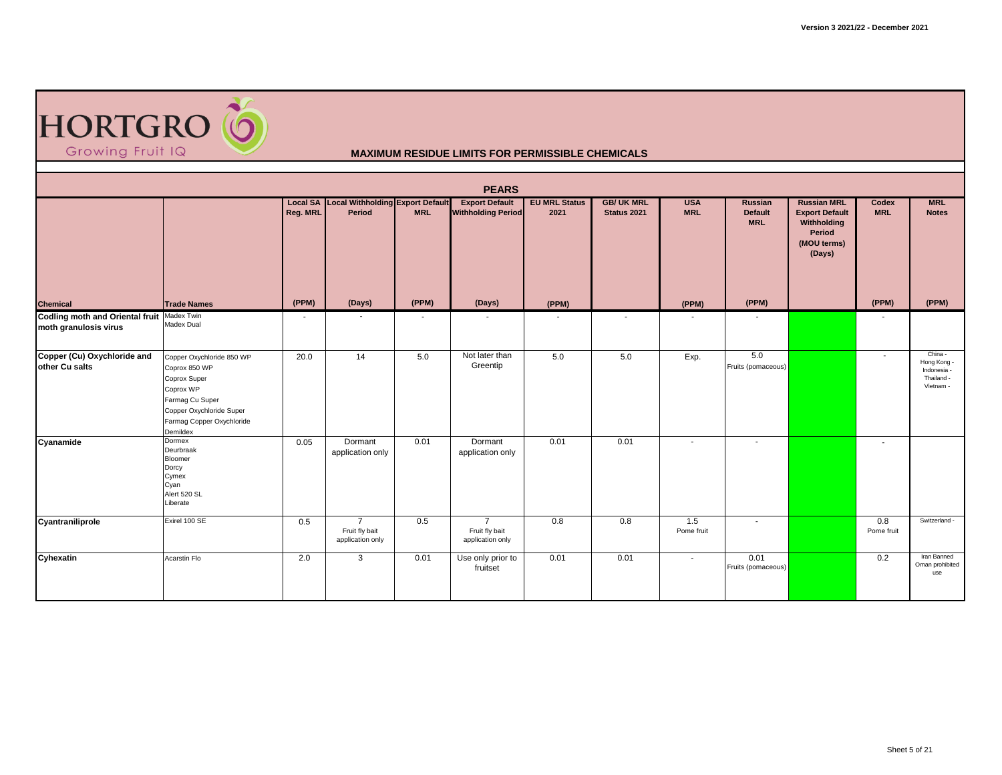

|                                                                     |                                                                                                                                                                 |                          |                                                      |            | <b>PEARS</b>                                         |                              |                                  |                          |                                         |                                                                                               |                          |                                                                  |
|---------------------------------------------------------------------|-----------------------------------------------------------------------------------------------------------------------------------------------------------------|--------------------------|------------------------------------------------------|------------|------------------------------------------------------|------------------------------|----------------------------------|--------------------------|-----------------------------------------|-----------------------------------------------------------------------------------------------|--------------------------|------------------------------------------------------------------|
|                                                                     |                                                                                                                                                                 | Reg. MRL                 | Local SA Local Withholding Export Default<br>Period  | <b>MRL</b> | <b>Export Default</b><br><b>Withholding Period</b>   | <b>EU MRL Status</b><br>2021 | <b>GB/ UK MRL</b><br>Status 2021 | <b>USA</b><br><b>MRL</b> | Russian<br><b>Default</b><br><b>MRL</b> | <b>Russian MRL</b><br><b>Export Default</b><br>Withholding<br>Period<br>(MOU terms)<br>(Days) | Codex<br><b>MRL</b>      | <b>MRL</b><br><b>Notes</b>                                       |
| <b>Chemical</b>                                                     | <b>Trade Names</b>                                                                                                                                              | (PPM)                    | (Days)                                               | (PPM)      | (Days)                                               | (PPM)                        |                                  | (PPM)                    | (PPM)                                   |                                                                                               | (PPM)                    | (PPM)                                                            |
| Codling moth and Oriental fruit Madex Twin<br>moth granulosis virus | Madex Dual                                                                                                                                                      | $\overline{\phantom{a}}$ |                                                      |            |                                                      |                              | $\overline{\phantom{a}}$         |                          |                                         |                                                                                               |                          |                                                                  |
| Copper (Cu) Oxychloride and<br>other Cu salts                       | Copper Oxychloride 850 WP<br>Coprox 850 WP<br>Coprox Super<br>Coprox WP<br>Farmag Cu Super<br>Copper Oxychloride Super<br>Farmag Copper Oxychloride<br>Demildex | 20.0                     | 14                                                   | 5.0        | Not later than<br>Greentip                           | 5.0                          | 5.0                              | Exp.                     | 5.0<br>Fruits (pomaceous)               |                                                                                               | $\overline{\phantom{a}}$ | China -<br>Hong Kong -<br>Indonesia -<br>Thailand -<br>Vietnam - |
| Cyanamide                                                           | Dormex<br>Deurbraak<br>Bloomer<br>Dorcy<br>Cymex<br>Cyan<br>Alert 520 SL<br>Liberate                                                                            | 0.05                     | Dormant<br>application only                          | 0.01       | Dormant<br>application only                          | 0.01                         | 0.01                             | $\overline{a}$           | $\sim$                                  |                                                                                               | $\blacksquare$           |                                                                  |
| Cyantraniliprole                                                    | Exirel 100 SE                                                                                                                                                   | 0.5                      | $\overline{7}$<br>Fruit fly bait<br>application only | 0.5        | $\overline{7}$<br>Fruit fly bait<br>application only | 0.8                          | 0.8                              | 1.5<br>Pome fruit        | $\sim$                                  |                                                                                               | 0.8<br>Pome fruit        | Switzerland -                                                    |
| Cyhexatin                                                           | Acarstin Flo                                                                                                                                                    | 2.0                      | 3                                                    | 0.01       | Use only prior to<br>fruitset                        | 0.01                         | 0.01                             | $\overline{\phantom{a}}$ | 0.01<br>Fruits (pomaceous)              |                                                                                               | 0.2                      | Iran Banned<br>Oman prohibited<br>use                            |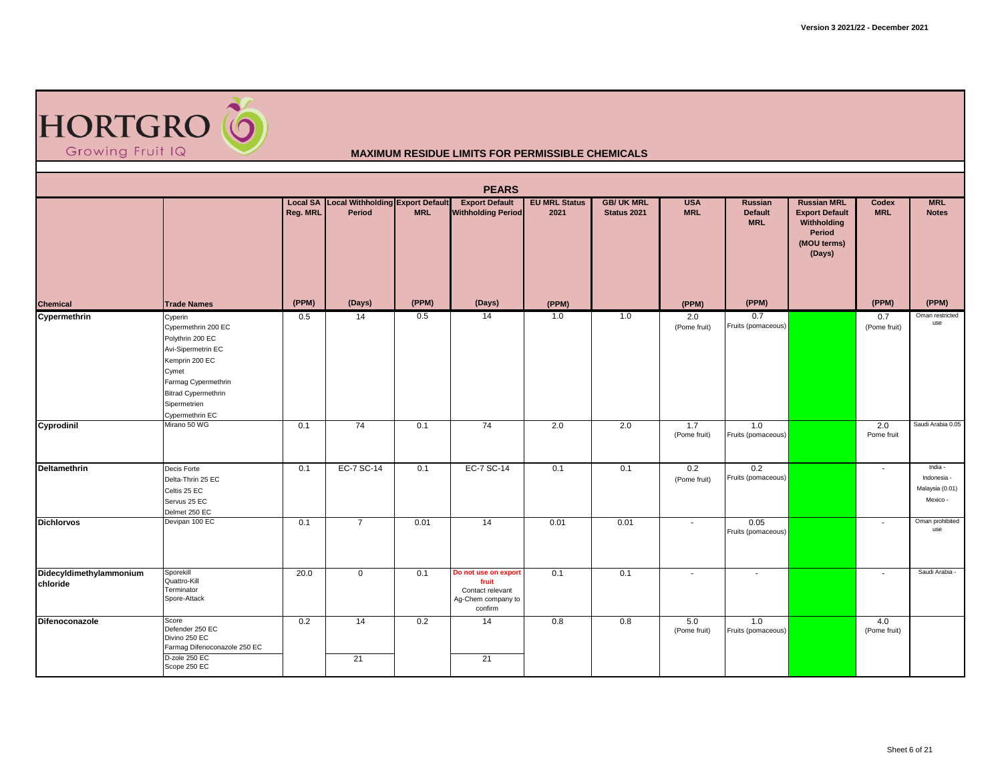

|                                     |                                                                                                                                                                                             |          |                                                     |            | <b>PEARS</b>                                                                       |                              |                                  |                          |                                         |                                                                                               |                          |                                                       |
|-------------------------------------|---------------------------------------------------------------------------------------------------------------------------------------------------------------------------------------------|----------|-----------------------------------------------------|------------|------------------------------------------------------------------------------------|------------------------------|----------------------------------|--------------------------|-----------------------------------------|-----------------------------------------------------------------------------------------------|--------------------------|-------------------------------------------------------|
|                                     |                                                                                                                                                                                             | Reg. MRL | Local SA Local Withholding Export Default<br>Period | <b>MRL</b> | <b>Export Default</b><br><b>Withholding Period</b>                                 | <b>EU MRL Status</b><br>2021 | <b>GB/ UK MRL</b><br>Status 2021 | <b>USA</b><br><b>MRL</b> | <b>Russian</b><br>Default<br><b>MRL</b> | <b>Russian MRL</b><br><b>Export Default</b><br>Withholding<br>Period<br>(MOU terms)<br>(Days) | Codex<br><b>MRL</b>      | <b>MRL</b><br><b>Notes</b>                            |
| <b>Chemical</b>                     | <b>Trade Names</b>                                                                                                                                                                          | (PPM)    | (Days)                                              | (PPM)      | (Days)                                                                             | (PPM)                        |                                  | (PPM)                    | (PPM)                                   |                                                                                               | (PPM)                    | (PPM)                                                 |
| Cypermethrin                        | Cyperin<br>Cypermethrin 200 EC<br>Polythrin 200 EC<br>Avi-Sipermetrin EC<br>Kemprin 200 EC<br>Cymet<br>Farmag Cypermethrin<br><b>Bitrad Cypermethrin</b><br>Sipermetrien<br>Cypermethrin EC | 0.5      | 14                                                  | 0.5        | 14                                                                                 | 1.0                          | 1.0                              | 2.0<br>(Pome fruit)      | 0.7<br>Fruits (pomaceous)               |                                                                                               | 0.7<br>(Pome fruit)      | Oman restricted<br>use                                |
| Cyprodinil                          | Mirano 50 WG                                                                                                                                                                                | 0.1      | 74                                                  | 0.1        | 74                                                                                 | 2.0                          | 2.0                              | 1.7<br>(Pome fruit)      | 1.0<br>Fruits (pomaceous)               |                                                                                               | 2.0<br>Pome fruit        | Saudi Arabia 0.05                                     |
| Deltamethrin                        | Decis Forte<br>Delta-Thrin 25 EC<br>Celtis 25 EC<br>Servus 25 EC<br>Delmet 250 EC                                                                                                           | 0.1      | EC-7 SC-14                                          | 0.1        | EC-7 SC-14                                                                         | 0.1                          | 0.1                              | 0.2<br>(Pome fruit)      | 0.2<br>Fruits (pomaceous)               |                                                                                               |                          | India -<br>Indonesia -<br>Malaysia (0.01)<br>Mexico - |
| <b>Dichlorvos</b>                   | Devipan 100 EC                                                                                                                                                                              | 0.1      | $\overline{7}$                                      | 0.01       | 14                                                                                 | 0.01                         | 0.01                             | $\sim$                   | 0.05<br>Fruits (pomaceous)              |                                                                                               | $\overline{\phantom{a}}$ | Oman prohibited<br>use                                |
| Didecyldimethylammonium<br>chloride | Sporekill<br>Quattro-Kill<br>Terminator<br>Spore-Attack                                                                                                                                     | 20.0     | $\mathbf 0$                                         | 0.1        | Do not use on export<br>fruit<br>Contact relevant<br>Ag-Chem company to<br>confirm | 0.1                          | 0.1                              | $\sim$                   | $\blacksquare$                          |                                                                                               |                          | Saudi Arabia -                                        |
| Difenoconazole                      | Score<br>Defender 250 EC<br>Divino 250 EC<br>Farmag Difenoconazole 250 EC<br>D-zole 250 EC<br>Scope 250 EC                                                                                  | 0.2      | 14<br>21                                            | 0.2        | 14<br>21                                                                           | 0.8                          | 0.8                              | 5.0<br>(Pome fruit)      | 1.0<br>Fruits (pomaceous)               |                                                                                               | 4.0<br>(Pome fruit)      |                                                       |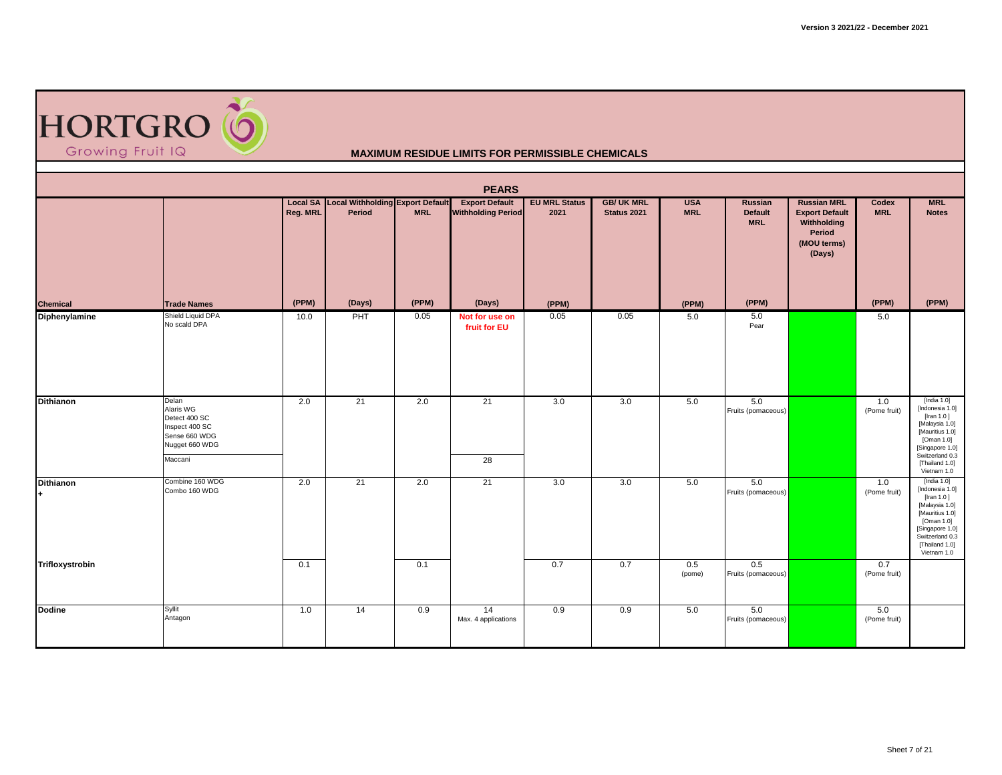

|                         |                                                                                                     |                   |                                                               |                     | <b>PEARS</b>                                                 |                                       |                                  |                                   |                                                  |                                                                                               |                              |                                                                                                                                                                              |
|-------------------------|-----------------------------------------------------------------------------------------------------|-------------------|---------------------------------------------------------------|---------------------|--------------------------------------------------------------|---------------------------------------|----------------------------------|-----------------------------------|--------------------------------------------------|-----------------------------------------------------------------------------------------------|------------------------------|------------------------------------------------------------------------------------------------------------------------------------------------------------------------------|
| <b>Chemical</b>         | <b>Trade Names</b>                                                                                  | Reg. MRL<br>(PPM) | Local SA Local Withholding Export Default<br>Period<br>(Days) | <b>MRL</b><br>(PPM) | <b>Export Default</b><br><b>Withholding Period</b><br>(Days) | <b>EU MRL Status</b><br>2021<br>(PPM) | <b>GB/ UK MRL</b><br>Status 2021 | <b>USA</b><br><b>MRL</b><br>(PPM) | Russian<br><b>Default</b><br><b>MRL</b><br>(PPM) | <b>Russian MRL</b><br><b>Export Default</b><br>Withholding<br>Period<br>(MOU terms)<br>(Days) | Codex<br><b>MRL</b><br>(PPM) | <b>MRL</b><br><b>Notes</b><br>(PPM)                                                                                                                                          |
| <b>Diphenylamine</b>    | Shield Liquid DPA<br>No scald DPA                                                                   | 10.0              | PHT                                                           | 0.05                | Not for use on<br>fruit for EU                               | 0.05                                  | 0.05                             | 5.0                               | 5.0<br>Pear                                      |                                                                                               | 5.0                          |                                                                                                                                                                              |
| <b>Dithianon</b>        | Delan<br>Alaris WG<br>Detect 400 SC<br>Inspect 400 SC<br>Sense 660 WDG<br>Nugget 660 WDG<br>Maccani | 2.0               | 21                                                            | 2.0                 | 21<br>$\overline{28}$                                        | 3.0                                   | 3.0                              | 5.0                               | 5.0<br>Fruits (pomaceous)                        |                                                                                               | 1.0<br>(Pome fruit)          | [India 1.0]<br>[Indonesia 1.0]<br>[Iran 1.0]<br>[Malaysia 1.0]<br>[Mauritius 1.0]<br>[Oman 1.0]<br>[Singapore 1.0]<br>Switzerland 0.3<br>[Thailand 1.0]<br>Vietnam 1.0       |
| <b>Dithianon</b><br>$+$ | Combine 160 WDG<br>Combo 160 WDG                                                                    | 2.0               | 21                                                            | 2.0                 | 21                                                           | 3.0                                   | 3.0                              | 5.0                               | 5.0<br>Fruits (pomaceous)                        |                                                                                               | 1.0<br>(Pome fruit)          | [India $1.0$ ]<br>[Indonesia 1.0]<br>[Iran 1.0]<br>[Malaysia 1.0]<br>[Mauritius 1.0]<br>[Oman $1.0$ ]<br>[Singapore 1.0]<br>Switzerland 0.3<br>[Thailand 1.0]<br>Vietnam 1.0 |
| Trifloxystrobin         |                                                                                                     | 0.1               |                                                               | 0.1                 |                                                              | 0.7                                   | 0.7                              | 0.5<br>(pome)                     | 0.5<br>Fruits (pomaceous)                        |                                                                                               | 0.7<br>(Pome fruit)          |                                                                                                                                                                              |
| <b>Dodine</b>           | Syllit<br>Antagon                                                                                   | 1.0               | 14                                                            | 0.9                 | 14<br>Max. 4 applications                                    | 0.9                                   | 0.9                              | 5.0                               | 5.0<br>Fruits (pomaceous)                        |                                                                                               | 5.0<br>(Pome fruit)          |                                                                                                                                                                              |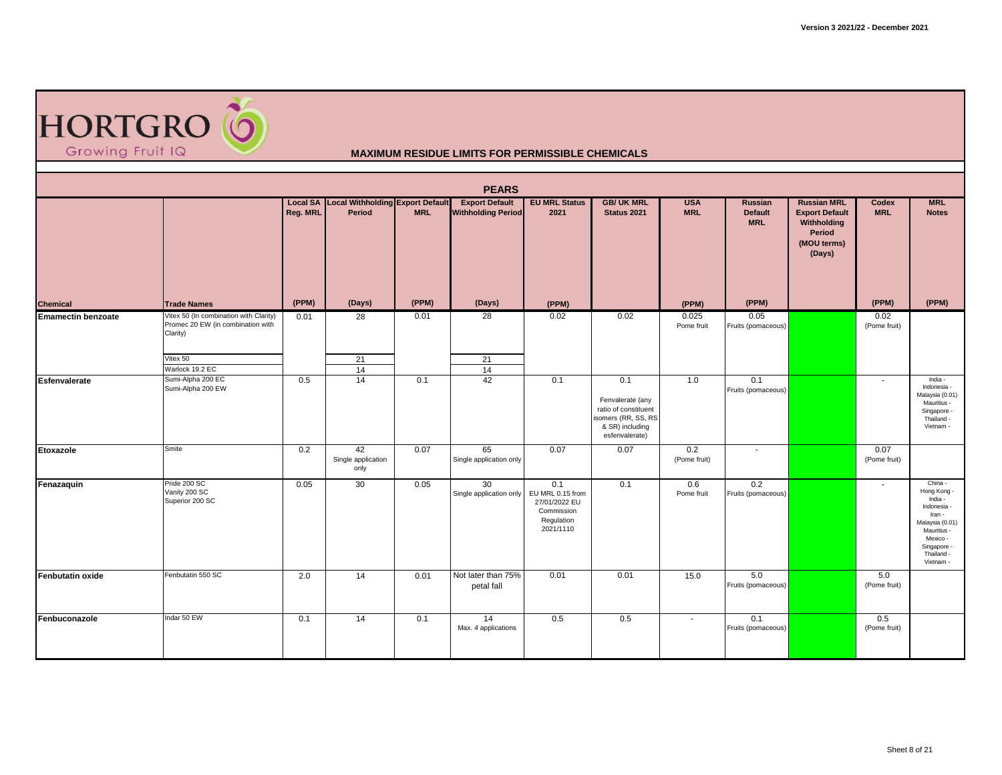

|                           |                                                                                                                        |          |                                                     |            | <b>PEARS</b>                                       |                                                                                   |                                                                                                             |                          |                                                |                                                                                               |                          |                                                                                                                                                    |
|---------------------------|------------------------------------------------------------------------------------------------------------------------|----------|-----------------------------------------------------|------------|----------------------------------------------------|-----------------------------------------------------------------------------------|-------------------------------------------------------------------------------------------------------------|--------------------------|------------------------------------------------|-----------------------------------------------------------------------------------------------|--------------------------|----------------------------------------------------------------------------------------------------------------------------------------------------|
|                           |                                                                                                                        | Reg. MRL | Local SA Local Withholding Export Default<br>Period | <b>MRL</b> | <b>Export Default</b><br><b>Withholding Period</b> | <b>EU MRL Status</b><br>2021                                                      | <b>GB/ UK MRL</b><br>Status 2021                                                                            | <b>USA</b><br><b>MRL</b> | <b>Russian</b><br><b>Default</b><br><b>MRL</b> | <b>Russian MRL</b><br><b>Export Default</b><br>Withholding<br>Period<br>(MOU terms)<br>(Days) | Codex<br><b>MRL</b>      | <b>MRL</b><br><b>Notes</b>                                                                                                                         |
| <b>Chemical</b>           | <b>Trade Names</b>                                                                                                     | (PPM)    | (Days)                                              | (PPM)      | (Days)                                             | (PPM)                                                                             |                                                                                                             | (PPM)                    | (PPM)                                          |                                                                                               | (PPM)                    | (PPM)                                                                                                                                              |
| <b>Emamectin benzoate</b> | Vitex 50 (In combination with Clarity)<br>Promec 20 EW (in combination with<br>Clarity)<br>Vitex 50<br>Warlock 19.2 EC | 0.01     | 28<br>21<br>14                                      | 0.01       | 28<br>21<br>14                                     | 0.02                                                                              | 0.02                                                                                                        | 0.025<br>Pome fruit      | 0.05<br>Fruits (pomaceous)                     |                                                                                               | 0.02<br>(Pome fruit)     |                                                                                                                                                    |
| <b>Esfenvalerate</b>      | Sumi-Alpha 200 EC<br>Sumi-Alpha 200 EW                                                                                 | 0.5      | 14                                                  | 0.1        | 42                                                 | 0.1                                                                               | 0.1<br>Fenvalerate (any<br>ratio of constituent<br>isomers (RR, SS, RS<br>& SR) including<br>esfenvalerate) | 1.0                      | 0.1<br>Fruits (pomaceous)                      |                                                                                               | $\sim$                   | India -<br>Indonesia -<br>Malaysia (0.01)<br>Mauritius -<br>Singapore -<br>Thailand -<br>Vietnam -                                                 |
| Etoxazole                 | Smite                                                                                                                  | 0.2      | 42<br>Single application<br>only                    | 0.07       | 65<br>Single application only                      | 0.07                                                                              | 0.07                                                                                                        | 0.2<br>(Pome fruit)      | $\sim$                                         |                                                                                               | 0.07<br>(Pome fruit)     |                                                                                                                                                    |
| Fenazaquin                | Pride 200 SC<br>Vanity 200 SC<br>Superior 200 SC                                                                       | 0.05     | 30                                                  | 0.05       | 30<br>Single application only                      | 0.1<br>EU MRL 0.15 from<br>27/01/2022 EU<br>Commission<br>Regulation<br>2021/1110 | 0.1                                                                                                         | 0.6<br>Pome fruit        | 0.2<br>Fruits (pomaceous)                      |                                                                                               | $\overline{\phantom{a}}$ | China -<br>Hong Kong -<br>India -<br>Indonesia -<br>Iran -<br>Malaysia (0.01)<br>Mauritius -<br>Mexico -<br>Singapore -<br>Thailand -<br>Vietnam - |
| <b>Fenbutatin oxide</b>   | Fenbutatin 550 SC                                                                                                      | 2.0      | 14                                                  | 0.01       | Not later than 75%<br>petal fall                   | 0.01                                                                              | 0.01                                                                                                        | 15.0                     | 5.0<br>Fruits (pomaceous)                      |                                                                                               | 5.0<br>(Pome fruit)      |                                                                                                                                                    |
| Fenbuconazole             | Indar 50 EW                                                                                                            | 0.1      | 14                                                  | 0.1        | 14<br>Max. 4 applications                          | 0.5                                                                               | 0.5                                                                                                         | $\sim$                   | 0.1<br>Fruits (pomaceous)                      |                                                                                               | 0.5<br>(Pome fruit)      |                                                                                                                                                    |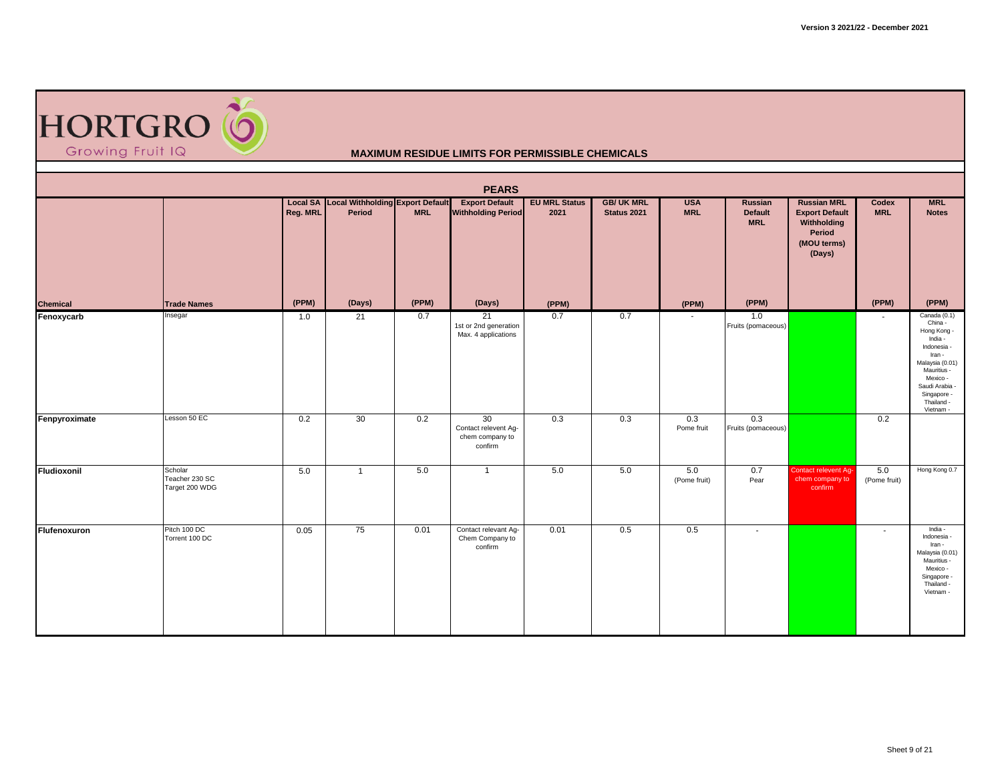

|                 |                                             |          |                                                            |            | <b>PEARS</b>                                             |                              |                                  |                          |                                                |                                                                                               |                     |                                                                                                                                                                                    |
|-----------------|---------------------------------------------|----------|------------------------------------------------------------|------------|----------------------------------------------------------|------------------------------|----------------------------------|--------------------------|------------------------------------------------|-----------------------------------------------------------------------------------------------|---------------------|------------------------------------------------------------------------------------------------------------------------------------------------------------------------------------|
|                 |                                             | Reg. MRL | <b>Local SA Local Withholding Export Default</b><br>Period | <b>MRL</b> | <b>Export Default</b><br><b>Withholding Period</b>       | <b>EU MRL Status</b><br>2021 | <b>GB/ UK MRL</b><br>Status 2021 | <b>USA</b><br><b>MRL</b> | <b>Russian</b><br><b>Default</b><br><b>MRL</b> | <b>Russian MRL</b><br><b>Export Default</b><br>Withholding<br>Period<br>(MOU terms)<br>(Days) | Codex<br><b>MRL</b> | <b>MRL</b><br><b>Notes</b>                                                                                                                                                         |
| <b>Chemical</b> | <b>Trade Names</b>                          | (PPM)    | (Days)                                                     | (PPM)      | (Days)                                                   | (PPM)                        |                                  | (PPM)                    | (PPM)                                          |                                                                                               | (PPM)               | (PPM)                                                                                                                                                                              |
| Fenoxycarb      | Insegar                                     | 1.0      | 21                                                         | 0.7        | 21<br>1st or 2nd generation<br>Max. 4 applications       | 0.7                          | 0.7                              | $\sim$                   | 1.0<br>Fruits (pomaceous)                      |                                                                                               |                     | Canada (0.1)<br>China -<br>Hong Kong -<br>India -<br>Indonesia -<br>Iran -<br>Malaysia (0.01)<br>Mauritius -<br>Mexico -<br>Saudi Arabia<br>Singapore -<br>Thailand -<br>Vietnam - |
| Fenpyroximate   | Lesson 50 EC                                | 0.2      | 30                                                         | 0.2        | 30<br>Contact relevent Ag-<br>chem company to<br>confirm | 0.3                          | 0.3                              | 0.3<br>Pome fruit        | 0.3<br>Fruits (pomaceous)                      |                                                                                               | 0.2                 |                                                                                                                                                                                    |
| Fludioxonil     | Scholar<br>Teacher 230 SC<br>Target 200 WDG | 5.0      | $\mathbf{1}$                                               | 5.0        | $\overline{1}$                                           | 5.0                          | 5.0                              | 5.0<br>(Pome fruit)      | 0.7<br>Pear                                    | <b>Contact relevent Ag-</b><br>chem company to<br>confirm                                     | 5.0<br>(Pome fruit) | Hong Kong 0.7                                                                                                                                                                      |
| Flufenoxuron    | Pitch 100 DC<br>Torrent 100 DC              | 0.05     | 75                                                         | 0.01       | Contact relevant Ag-<br>Chem Company to<br>confirm       | 0.01                         | 0.5                              | 0.5                      | $\blacksquare$                                 |                                                                                               | $\blacksquare$      | India -<br>Indonesia -<br>Iran -<br>Malaysia (0.01)<br>Mauritius -<br>Mexico -<br>Singapore -<br>Thailand -<br>Vietnam -                                                           |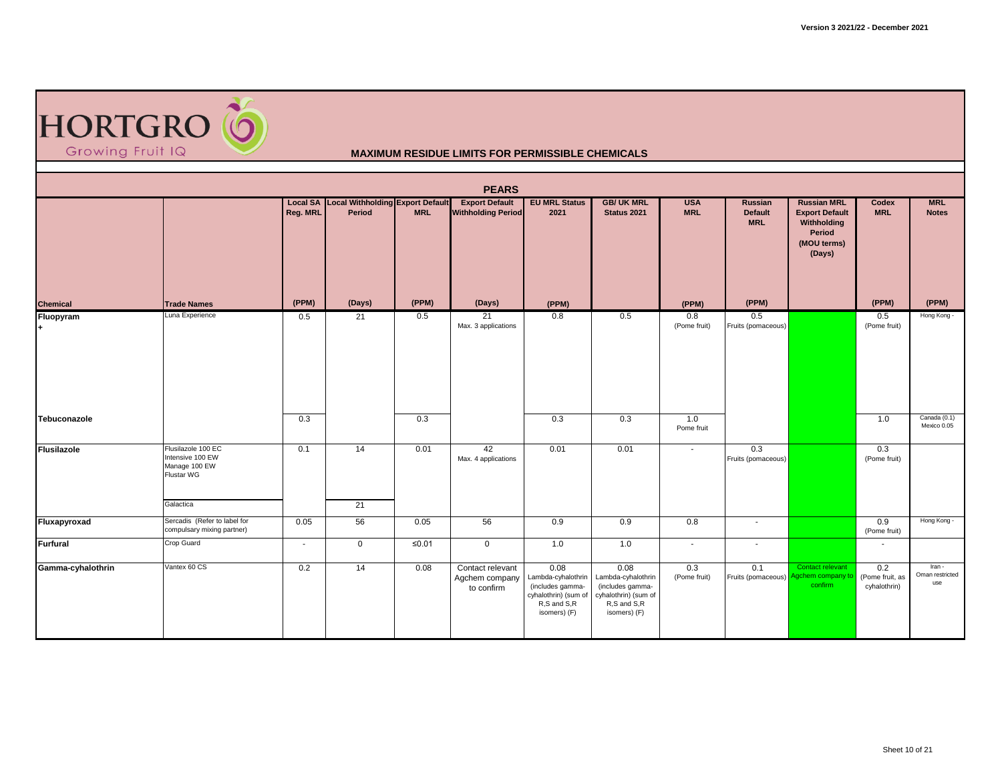

|                   |                                                                                    |          |                                                     |                        | <b>PEARS</b>                                       |                                                                                                       |                                                                                                       |                          |                                         |                                                                                               |                                        |                                  |
|-------------------|------------------------------------------------------------------------------------|----------|-----------------------------------------------------|------------------------|----------------------------------------------------|-------------------------------------------------------------------------------------------------------|-------------------------------------------------------------------------------------------------------|--------------------------|-----------------------------------------|-----------------------------------------------------------------------------------------------|----------------------------------------|----------------------------------|
|                   |                                                                                    | Reg. MRL | Local SA Local Withholding Export Default<br>Period | <b>MRL</b>             | <b>Export Default</b><br><b>Withholding Period</b> | <b>EU MRL Status</b><br>2021                                                                          | <b>GB/ UK MRL</b><br>Status 2021                                                                      | <b>USA</b><br><b>MRL</b> | Russian<br><b>Default</b><br><b>MRL</b> | <b>Russian MRL</b><br><b>Export Default</b><br>Withholding<br>Period<br>(MOU terms)<br>(Days) | Codex<br><b>MRL</b>                    | <b>MRL</b><br><b>Notes</b>       |
| <b>Chemical</b>   | <b>Trade Names</b>                                                                 | (PPM)    | (Days)                                              | (PPM)                  | (Days)                                             | (PPM)                                                                                                 |                                                                                                       | (PPM)                    | (PPM)                                   |                                                                                               | (PPM)                                  | (PPM)                            |
| Fluopyram<br>$+$  | Luna Experience                                                                    | 0.5      | 21                                                  | 0.5                    | 21<br>Max. 3 applications                          | 0.8                                                                                                   | 0.5                                                                                                   | 0.8<br>(Pome fruit)      | 0.5<br>Fruits (pomaceous)               |                                                                                               | 0.5<br>(Pome fruit)                    | Hong Kong -                      |
| Tebuconazole      |                                                                                    | 0.3      |                                                     | 0.3                    |                                                    | 0.3                                                                                                   | 0.3                                                                                                   | 1.0<br>Pome fruit        |                                         |                                                                                               | 1.0                                    | Canada (0.1)<br>Mexico 0.05      |
| Flusilazole       | Flusilazole 100 EC<br>Intensive 100 EW<br>Manage 100 EW<br>Flustar WG<br>Galactica | 0.1      | 14<br>21                                            | 0.01                   | 42<br>Max. 4 applications                          | 0.01                                                                                                  | 0.01                                                                                                  | $\sim$                   | 0.3<br>Fruits (pomaceous)               |                                                                                               | 0.3<br>(Pome fruit)                    |                                  |
| Fluxapyroxad      | Sercadis (Refer to label for                                                       | 0.05     | 56                                                  | 0.05                   | 56                                                 | 0.9                                                                                                   | 0.9                                                                                                   | 0.8                      | $\overline{\phantom{a}}$                |                                                                                               | 0.9                                    | Hong Kong -                      |
|                   | compulsary mixing partner)                                                         |          |                                                     |                        |                                                    |                                                                                                       |                                                                                                       |                          |                                         |                                                                                               | (Pome fruit)                           |                                  |
| Furfural          | Crop Guard                                                                         | $\sim$   | $\mathbf 0$                                         | $\overline{\leq 0.01}$ | $\overline{0}$                                     | 1.0                                                                                                   | 1.0                                                                                                   | $\sim$                   | $\sim$                                  |                                                                                               | $\sim$                                 |                                  |
| Gamma-cyhalothrin | Vantex 60 CS                                                                       | 0.2      | 14                                                  | 0.08                   | Contact relevant<br>Agchem company<br>to confirm   | 0.08<br>Lambda-cyhalothrin<br>(includes gamma-<br>cyhalothrin) (sum of<br>R,S and S,R<br>isomers) (F) | 0.08<br>Lambda-cyhalothrin<br>(includes gamma-<br>cyhalothrin) (sum of<br>R,S and S,R<br>isomers) (F) | 0.3<br>(Pome fruit)      | 0.1<br>Fruits (pomaceous)               | Contact relevant<br>nem company to<br>confirm                                                 | 0.2<br>(Pome fruit, as<br>cyhalothrin) | Iran -<br>Oman restricted<br>use |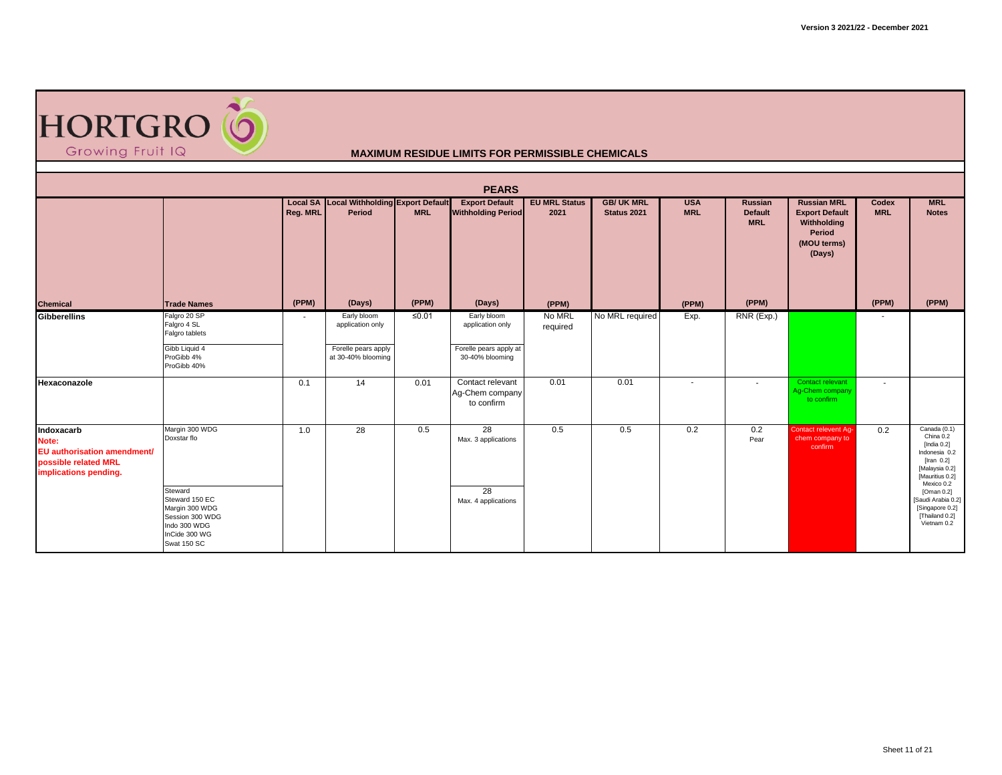

|                                                                                                     | <b>PEARS</b>                                                                                                                                    |                |                                                                              |            |                                                                                  |                              |                                  |                          |                                         |                                                                                               |                     |                                                                                                                                                                                                                             |  |  |  |
|-----------------------------------------------------------------------------------------------------|-------------------------------------------------------------------------------------------------------------------------------------------------|----------------|------------------------------------------------------------------------------|------------|----------------------------------------------------------------------------------|------------------------------|----------------------------------|--------------------------|-----------------------------------------|-----------------------------------------------------------------------------------------------|---------------------|-----------------------------------------------------------------------------------------------------------------------------------------------------------------------------------------------------------------------------|--|--|--|
|                                                                                                     |                                                                                                                                                 | Reg. MRL       | <b>Local SA Local Withholding Export Default</b><br>Period                   | <b>MRL</b> | <b>Export Default</b><br><b>Withholding Period</b>                               | <b>EU MRL Status</b><br>2021 | <b>GB/ UK MRL</b><br>Status 2021 | <b>USA</b><br><b>MRL</b> | Russian<br><b>Default</b><br><b>MRL</b> | <b>Russian MRL</b><br><b>Export Default</b><br>Withholding<br>Period<br>(MOU terms)<br>(Days) | Codex<br><b>MRL</b> | <b>MRL</b><br><b>Notes</b>                                                                                                                                                                                                  |  |  |  |
| <b>Chemical</b>                                                                                     | <b>Trade Names</b>                                                                                                                              | (PPM)          | (Days)                                                                       | (PPM)      | (Days)                                                                           | (PPM)                        |                                  | (PPM)                    | (PPM)                                   |                                                                                               | (PPM)               | (PPM)                                                                                                                                                                                                                       |  |  |  |
| <b>Gibberellins</b>                                                                                 | Falgro 20 SP<br>Falgro 4 SL<br>Falgro tablets<br>Gibb Liquid 4<br>ProGibb 4%<br>ProGibb 40%                                                     | $\blacksquare$ | Early bloom<br>application only<br>Forelle pears apply<br>at 30-40% blooming | ≤0.01      | Early bloom<br>application only<br>Forelle pears apply at<br>30-40% blooming     | No MRL<br>required           | No MRL required                  | Exp.                     | RNR (Exp.)                              |                                                                                               |                     |                                                                                                                                                                                                                             |  |  |  |
| Hexaconazole                                                                                        |                                                                                                                                                 | 0.1            | 14                                                                           | 0.01       | Contact relevant<br>Ag-Chem company<br>to confirm                                | 0.01                         | 0.01                             | $\overline{\phantom{a}}$ |                                         | Contact relevant<br>Aq-Chem company<br>to confirm                                             | $\blacksquare$      |                                                                                                                                                                                                                             |  |  |  |
| Indoxacarb<br>Note:<br>EU authorisation amendment/<br>possible related MRL<br>implications pending. | Margin 300 WDG<br>Doxstar flo<br>Steward<br>Steward 150 EC<br>Margin 300 WDG<br>Session 300 WDG<br>Indo 300 WDG<br>InCide 300 WG<br>Swat 150 SC | 1.0            | 28                                                                           | 0.5        | $\overline{28}$<br>Max. 3 applications<br>$\overline{28}$<br>Max. 4 applications | 0.5                          | 0.5                              | 0.2                      | 0.2<br>Pear                             | <b>Contact relevent Ag-</b><br>chem company to<br>confirm                                     | 0.2                 | Canada (0.1)<br>China 0.2<br>[India $0.2$ ]<br>Indonesia 0.2<br>$[$ Iran 0.2 $]$<br>[Malaysia 0.2]<br>[Mauritius 0.2]<br>Mexico 0.2<br>[Oman 0.2]<br>[Saudi Arabia 0.2]<br>[Singapore 0.2]<br>[Thailand 0.2]<br>Vietnam 0.2 |  |  |  |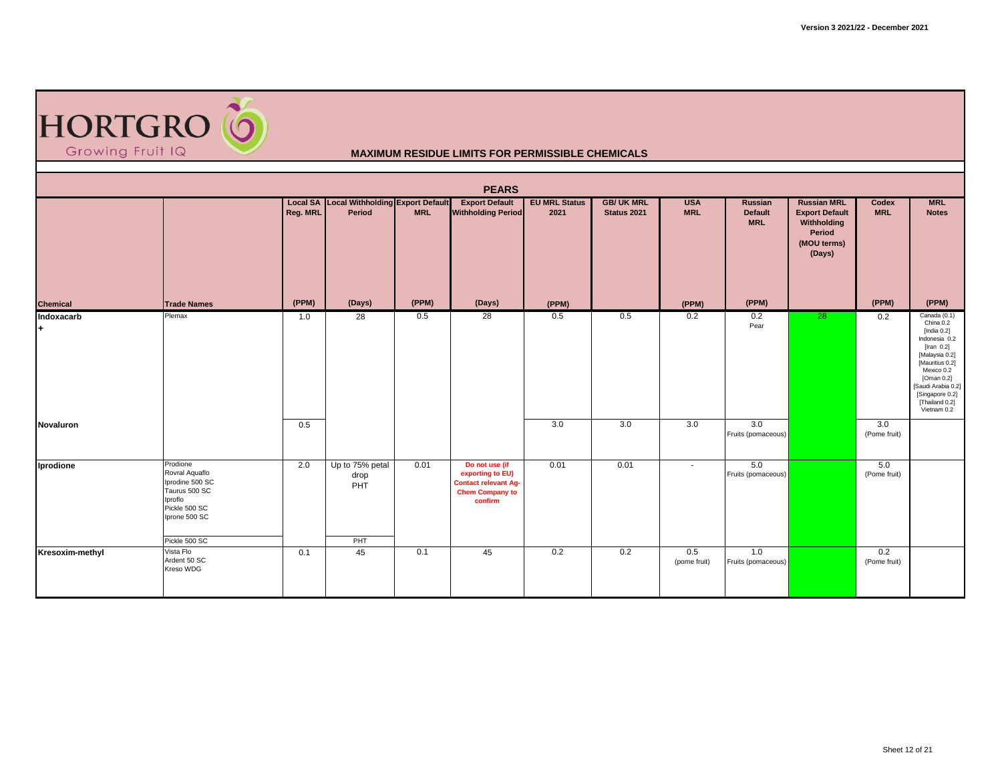

|                  | <b>PEARS</b><br>Local SA Local Withholding Export Default<br><b>EU MRL Status</b><br><b>GB/ UK MRL</b><br><b>USA</b><br><b>Russian MRL</b><br><b>MRL</b><br><b>Export Default</b><br><b>Russian</b><br>Codex |          |                                       |            |                                                                                                        |       |             |                     |                              |                                                                         |                     |                                                                                                                                                                                                                       |  |  |  |
|------------------|--------------------------------------------------------------------------------------------------------------------------------------------------------------------------------------------------------------|----------|---------------------------------------|------------|--------------------------------------------------------------------------------------------------------|-------|-------------|---------------------|------------------------------|-------------------------------------------------------------------------|---------------------|-----------------------------------------------------------------------------------------------------------------------------------------------------------------------------------------------------------------------|--|--|--|
|                  |                                                                                                                                                                                                              | Reg. MRL | Period                                | <b>MRL</b> | <b>Withholding Period</b>                                                                              | 2021  | Status 2021 | <b>MRL</b>          | <b>Default</b><br><b>MRL</b> | <b>Export Default</b><br>Withholding<br>Period<br>(MOU terms)<br>(Days) | <b>MRL</b>          | <b>Notes</b>                                                                                                                                                                                                          |  |  |  |
| <b>Chemical</b>  | <b>Trade Names</b>                                                                                                                                                                                           | (PPM)    | (Days)                                | (PPM)      | (Days)                                                                                                 | (PPM) |             | (PPM)               | (PPM)                        |                                                                         | (PPM)               | (PPM)                                                                                                                                                                                                                 |  |  |  |
| Indoxacarb<br>l+ | Plemax                                                                                                                                                                                                       | 1.0      | 28                                    | 0.5        | 28                                                                                                     | 0.5   | 0.5         | 0.2                 | 0.2<br>Pear                  | 28                                                                      | 0.2                 | Canada (0.1)<br>China 0.2<br>[India 0.2]<br>Indonesia 0.2<br>[Iran $0.2$ ]<br>[Malaysia 0.2]<br>[Mauritius 0.2]<br>Mexico 0.2<br>[Oman 0.2]<br>[Saudi Arabia 0.2]<br>[Singapore 0.2]<br>[Thailand 0.2]<br>Vietnam 0.2 |  |  |  |
| Novaluron        |                                                                                                                                                                                                              | 0.5      |                                       |            |                                                                                                        | 3.0   | 3.0         | 3.0                 | 3.0<br>Fruits (pomaceous)    |                                                                         | 3.0<br>(Pome fruit) |                                                                                                                                                                                                                       |  |  |  |
| Iprodione        | Prodione<br>Rovral Aquaflo<br>Iprodine 500 SC<br>Taurus 500 SC<br>Iproflo<br>Pickle 500 SC<br>Iprone 500 SC<br>Pickle 500 SC                                                                                 | 2.0      | Up to 75% petal<br>drop<br>PHT<br>PHT | 0.01       | Do not use (if<br>exporting to EU)<br><b>Contact relevant Ag-</b><br><b>Chem Company to</b><br>confirm | 0.01  | 0.01        | $\sim$              | 5.0<br>Fruits (pomaceous)    |                                                                         | 5.0<br>(Pome fruit) |                                                                                                                                                                                                                       |  |  |  |
| Kresoxim-methyl  | Vista Flo<br>Ardent 50 SC<br>Kreso WDG                                                                                                                                                                       | 0.1      | 45                                    | 0.1        | 45                                                                                                     | 0.2   | 0.2         | 0.5<br>(pome fruit) | 1.0<br>Fruits (pomaceous)    |                                                                         | 0.2<br>(Pome fruit) |                                                                                                                                                                                                                       |  |  |  |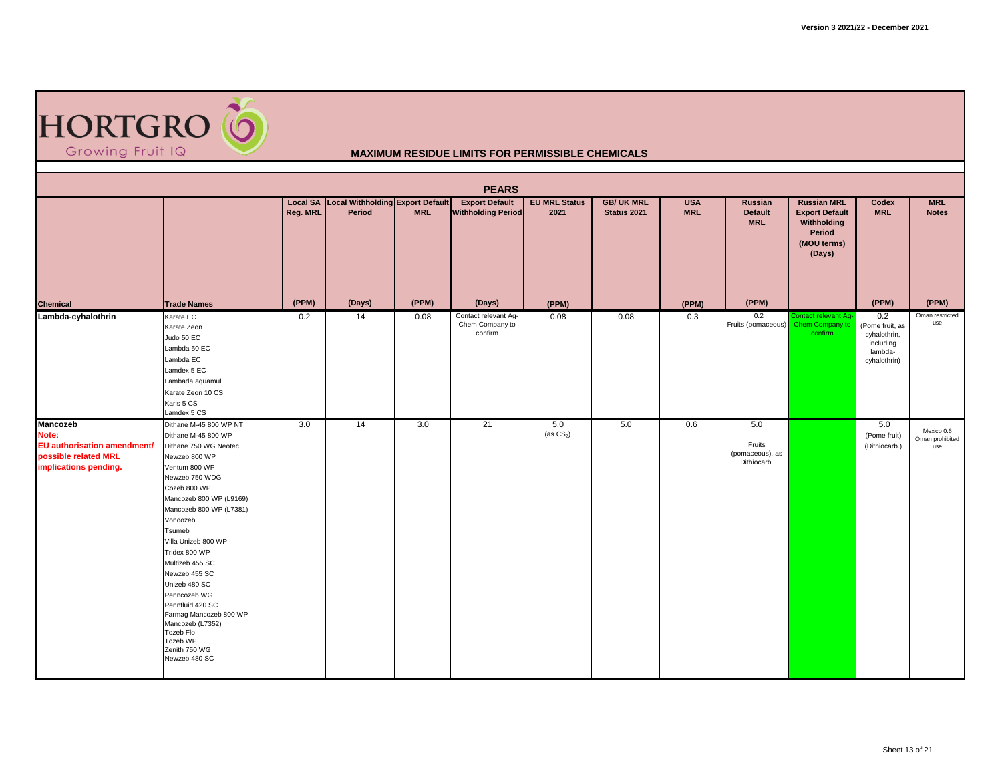

| <b>PEARS</b>                                                                                      |                                                                                                                                                                                                                                                                                                                                                                                                                                                                  |          |                                                            |            |                                                    |                              |                                  |                          |                                                 |                                                                                               |                                                                                |                                      |  |
|---------------------------------------------------------------------------------------------------|------------------------------------------------------------------------------------------------------------------------------------------------------------------------------------------------------------------------------------------------------------------------------------------------------------------------------------------------------------------------------------------------------------------------------------------------------------------|----------|------------------------------------------------------------|------------|----------------------------------------------------|------------------------------|----------------------------------|--------------------------|-------------------------------------------------|-----------------------------------------------------------------------------------------------|--------------------------------------------------------------------------------|--------------------------------------|--|
|                                                                                                   |                                                                                                                                                                                                                                                                                                                                                                                                                                                                  | Reg. MRL | <b>Local SA Local Withholding Export Default</b><br>Period | <b>MRL</b> | <b>Export Default</b><br><b>Withholding Period</b> | <b>EU MRL Status</b><br>2021 | <b>GB/ UK MRL</b><br>Status 2021 | <b>USA</b><br><b>MRL</b> | Russian<br><b>Default</b><br><b>MRL</b>         | <b>Russian MRL</b><br><b>Export Default</b><br>Withholding<br>Period<br>(MOU terms)<br>(Days) | Codex<br><b>MRL</b>                                                            | <b>MRL</b><br><b>Notes</b>           |  |
| <b>Chemical</b>                                                                                   | <b>Trade Names</b>                                                                                                                                                                                                                                                                                                                                                                                                                                               | (PPM)    | (Days)                                                     | (PPM)      | (Days)                                             | (PPM)                        |                                  | (PPM)                    | (PPM)                                           |                                                                                               | (PPM)                                                                          | (PPM)                                |  |
| Lambda-cyhalothrin                                                                                | Karate EC<br>Karate Zeon<br>Judo 50 EC<br>Lambda 50 EC<br>Lambda EC<br>Lamdex 5 EC<br>Lambada aquamul<br>Karate Zeon 10 CS<br>Karis 5 CS<br>Lamdex 5 CS                                                                                                                                                                                                                                                                                                          | 0.2      | 14                                                         | 0.08       | Contact relevant Ag-<br>Chem Company to<br>confirm | 0.08                         | 0.08                             | 0.3                      | 0.2<br>Fruits (pomaceous)                       | Contact relevant Ag-<br>Chem Company to<br>confirm                                            | 0.2<br>(Pome fruit, as<br>cyhalothrin,<br>including<br>lambda-<br>cyhalothrin) | Oman restricted<br>use               |  |
| Mancozeb<br>Note:<br>EU authorisation amendment/<br>possible related MRL<br>implications pending. | Dithane M-45 800 WP NT<br>Dithane M-45 800 WP<br>Dithane 750 WG Neotec<br>Newzeb 800 WP<br>Ventum 800 WP<br>Newzeb 750 WDG<br>Cozeb 800 WP<br>Mancozeb 800 WP (L9169)<br>Mancozeb 800 WP (L7381)<br>Vondozeb<br>Tsumeb<br>Villa Unizeb 800 WP<br>Tridex 800 WP<br>Multizeb 455 SC<br>Newzeb 455 SC<br>Unizeb 480 SC<br>Penncozeb WG<br>Pennfluid 420 SC<br>Farmag Mancozeb 800 WP<br>Mancozeb (L7352)<br>Tozeb Flo<br>Tozeb WP<br>Zenith 750 WG<br>Newzeb 480 SC | 3.0      | 14                                                         | 3.0        | 21                                                 | 5.0<br>(as $CS_2$ )          | 5.0                              | 0.6                      | 5.0<br>Fruits<br>(pomaceous), as<br>Dithiocarb. |                                                                                               | 5.0<br>(Pome fruit)<br>(Dithiocarb.)                                           | Mexico 0.6<br>Oman prohibited<br>use |  |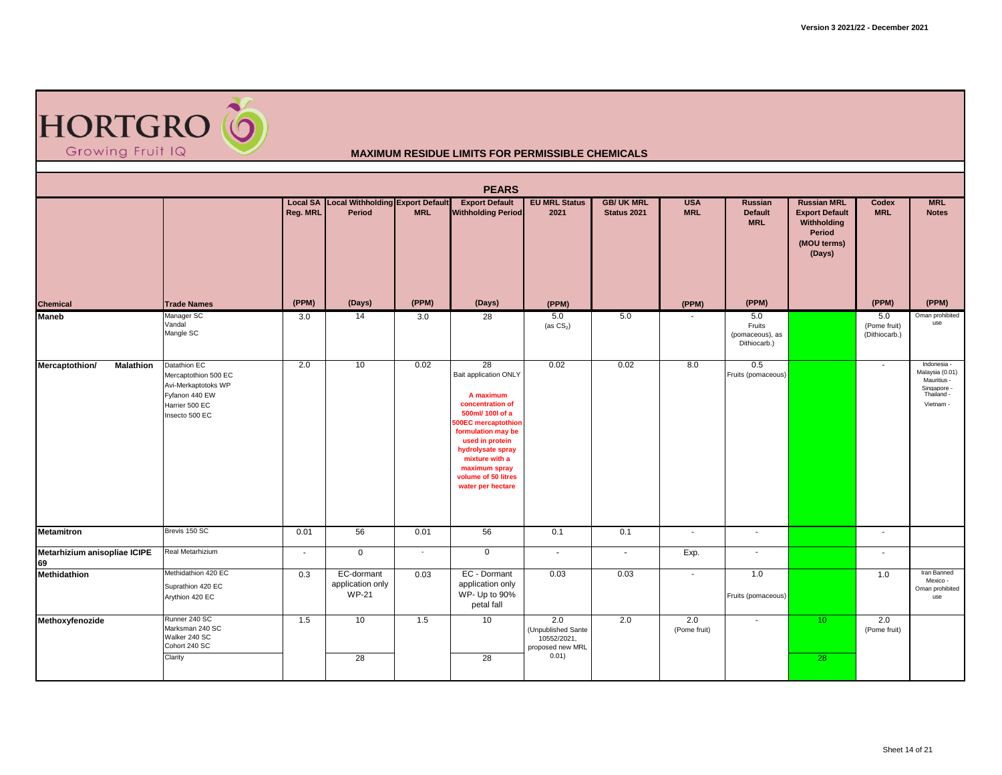

|                                    | <b>PEARS</b><br>Local SA Local Withholding Export Default                                                         |          |                                                |            |                                                                                                                                                                                                                                                             |                                                                       |                                  |                          |                                                  |                                                                                               |                                      |                                                                                         |  |  |
|------------------------------------|-------------------------------------------------------------------------------------------------------------------|----------|------------------------------------------------|------------|-------------------------------------------------------------------------------------------------------------------------------------------------------------------------------------------------------------------------------------------------------------|-----------------------------------------------------------------------|----------------------------------|--------------------------|--------------------------------------------------|-----------------------------------------------------------------------------------------------|--------------------------------------|-----------------------------------------------------------------------------------------|--|--|
|                                    |                                                                                                                   | Reg. MRL | Period                                         | <b>MRL</b> | <b>Export Default</b><br><b>Withholding Period</b>                                                                                                                                                                                                          | <b>EU MRL Status</b><br>2021                                          | <b>GB/ UK MRL</b><br>Status 2021 | <b>USA</b><br><b>MRL</b> | <b>Russian</b><br><b>Default</b><br><b>MRL</b>   | <b>Russian MRL</b><br><b>Export Default</b><br>Withholding<br>Period<br>(MOU terms)<br>(Days) | Codex<br><b>MRL</b>                  | <b>MRL</b><br><b>Notes</b>                                                              |  |  |
| <b>Chemical</b>                    | <b>Trade Names</b>                                                                                                | (PPM)    | (Days)                                         | (PPM)      | (Days)                                                                                                                                                                                                                                                      | (PPM)                                                                 |                                  | (PPM)                    | (PPM)                                            |                                                                                               | (PPM)                                | (PPM)                                                                                   |  |  |
| <b>Maneb</b>                       | Manager SC<br>Vandal<br>Mangle SC                                                                                 | 3.0      | 14                                             | 3.0        | 28                                                                                                                                                                                                                                                          | 5.0<br>(as $CS_2$ )                                                   | 5.0                              |                          | 5.0<br>Fruits<br>(pomaceous), as<br>Dithiocarb.) |                                                                                               | 5.0<br>(Pome fruit)<br>(Dithiocarb.) | Oman prohibited<br>use                                                                  |  |  |
| Mercaptothion/<br><b>Malathion</b> | Datathion EC<br>Mercaptothion 500 EC<br>Avi-Merkaptotoks WP<br>Fyfanon 440 EW<br>Harrier 500 EC<br>Insecto 500 EC | 2.0      | 10                                             | 0.02       | 28<br>Bait application ONLY<br>A maximum<br>concentration of<br>500ml/ 100l of a<br><b>500EC</b> mercaptothion<br>formulation may be<br>used in protein<br>hydrolysate spray<br>mixture with a<br>maximum spray<br>volume of 50 litres<br>water per hectare | 0.02                                                                  | 0.02                             | 8.0                      | 0.5<br>Fruits (pomaceous)                        |                                                                                               |                                      | Indonesia -<br>Malaysia (0.01)<br>Mauritius -<br>Singapore -<br>Thailand -<br>Vietnam - |  |  |
| <b>Metamitron</b>                  | Brevis 150 SC                                                                                                     | 0.01     | 56                                             | 0.01       | 56                                                                                                                                                                                                                                                          | 0.1                                                                   | 0.1                              | $\sim$                   | $\overline{\phantom{a}}$                         |                                                                                               | $\sim$                               |                                                                                         |  |  |
| Metarhizium anisopliae ICIPE<br>69 | Real Metarhizium                                                                                                  | $\sim$   | $\overline{0}$                                 | $\sim$     | $\mathbf 0$                                                                                                                                                                                                                                                 | $\sim$                                                                | $\sim$                           | Exp.                     | $\blacksquare$                                   |                                                                                               | $\sim$                               |                                                                                         |  |  |
| Methidathion                       | Methidathion 420 EC<br>Suprathion 420 EC<br>Arythion 420 EC                                                       | 0.3      | EC-dormant<br>application only<br><b>WP-21</b> | 0.03       | EC - Dormant<br>application only<br>WP- Up to 90%<br>petal fall                                                                                                                                                                                             | 0.03                                                                  | 0.03                             | $\sim$                   | 1.0<br>Fruits (pomaceous)                        |                                                                                               | 1.0                                  | Iran Banned<br>Mexico -<br>Oman prohibited<br>use                                       |  |  |
| Methoxyfenozide                    | Runner 240 SC<br>Marksman 240 SC<br>Walker 240 SC<br>Cohort 240 SC<br>Clarity                                     | 1.5      | 10<br>28                                       | 1.5        | 10<br>28                                                                                                                                                                                                                                                    | 2.0<br>(Unpublished Sante<br>10552/2021.<br>proposed new MRL<br>0.01) | 2.0                              | 2.0<br>(Pome fruit)      | $\blacksquare$                                   | 10 <sup>°</sup><br>28                                                                         | 2.0<br>(Pome fruit)                  |                                                                                         |  |  |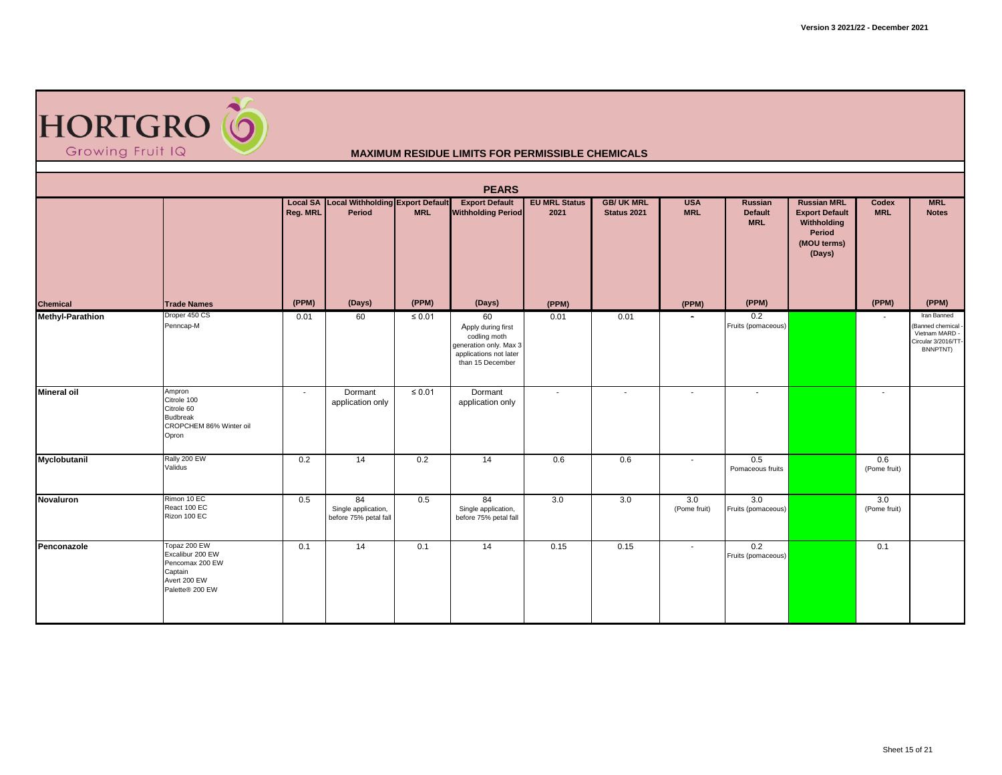

| <b>PEARS</b>            |                                                                                                   |          |                                                            |             |                                                                                                                  |                              |                                  |                          |                                                |                                                                                               |                          |                                                                                     |  |
|-------------------------|---------------------------------------------------------------------------------------------------|----------|------------------------------------------------------------|-------------|------------------------------------------------------------------------------------------------------------------|------------------------------|----------------------------------|--------------------------|------------------------------------------------|-----------------------------------------------------------------------------------------------|--------------------------|-------------------------------------------------------------------------------------|--|
|                         |                                                                                                   | Reg. MRL | <b>Local SA Local Withholding Export Default</b><br>Period | <b>MRL</b>  | <b>Export Default</b><br><b>Withholding Period</b>                                                               | <b>EU MRL Status</b><br>2021 | <b>GB/ UK MRL</b><br>Status 2021 | <b>USA</b><br><b>MRL</b> | <b>Russian</b><br><b>Default</b><br><b>MRL</b> | <b>Russian MRL</b><br><b>Export Default</b><br>Withholding<br>Period<br>(MOU terms)<br>(Days) | Codex<br><b>MRL</b>      | <b>MRL</b><br><b>Notes</b>                                                          |  |
| Chemical                | <b>Trade Names</b>                                                                                | (PPM)    | (Days)                                                     | (PPM)       | (Days)                                                                                                           | (PPM)                        |                                  | (PPM)                    | (PPM)                                          |                                                                                               | (PPM)                    | (PPM)                                                                               |  |
| <b>Methyl-Parathion</b> | Droper 450 CS<br>Penncap-M                                                                        | 0.01     | 60                                                         | $\leq 0.01$ | 60<br>Apply during first<br>codling moth<br>generation only. Max 3<br>applications not later<br>than 15 December | 0.01                         | 0.01                             | $\overline{\phantom{a}}$ | 0.2<br>Fruits (pomaceous)                      |                                                                                               | $\blacksquare$           | Iran Banned<br>Banned chemical<br>Vietnam MARD -<br>Circular 3/2016/TT-<br>BNNPTNT) |  |
| <b>Mineral oil</b>      | Ampron<br>Citrole 100<br>Citrole 60<br><b>Budbreak</b><br>CROPCHEM 86% Winter oil<br>Opron        | $\sim$   | Dormant<br>application only                                | $\leq 0.01$ | Dormant<br>application only                                                                                      | $\overline{\phantom{a}}$     | $\overline{\phantom{a}}$         | $\overline{\phantom{a}}$ | $\overline{\phantom{a}}$                       |                                                                                               | $\overline{\phantom{a}}$ |                                                                                     |  |
| Myclobutanil            | Rally 200 EW<br>Validus                                                                           | 0.2      | 14                                                         | 0.2         | 14                                                                                                               | 0.6                          | 0.6                              | $\sim$                   | 0.5<br>Pomaceous fruits                        |                                                                                               | 0.6<br>(Pome fruit)      |                                                                                     |  |
| Novaluron               | Rimon 10 EC<br>React 100 EC<br>Rizon 100 EC                                                       | 0.5      | 84<br>Single application,<br>before 75% petal fall         | 0.5         | 84<br>Single application,<br>before 75% petal fall                                                               | 3.0                          | 3.0                              | 3.0<br>(Pome fruit)      | 3.0<br>Fruits (pomaceous)                      |                                                                                               | 3.0<br>(Pome fruit)      |                                                                                     |  |
| Penconazole             | Topaz 200 EW<br>Excalibur 200 EW<br>Pencomax 200 EW<br>Captain<br>Avert 200 EW<br>Palette® 200 EW | 0.1      | 14                                                         | 0.1         | 14                                                                                                               | 0.15                         | 0.15                             | $\overline{\phantom{a}}$ | 0.2<br>Fruits (pomaceous)                      |                                                                                               | 0.1                      |                                                                                     |  |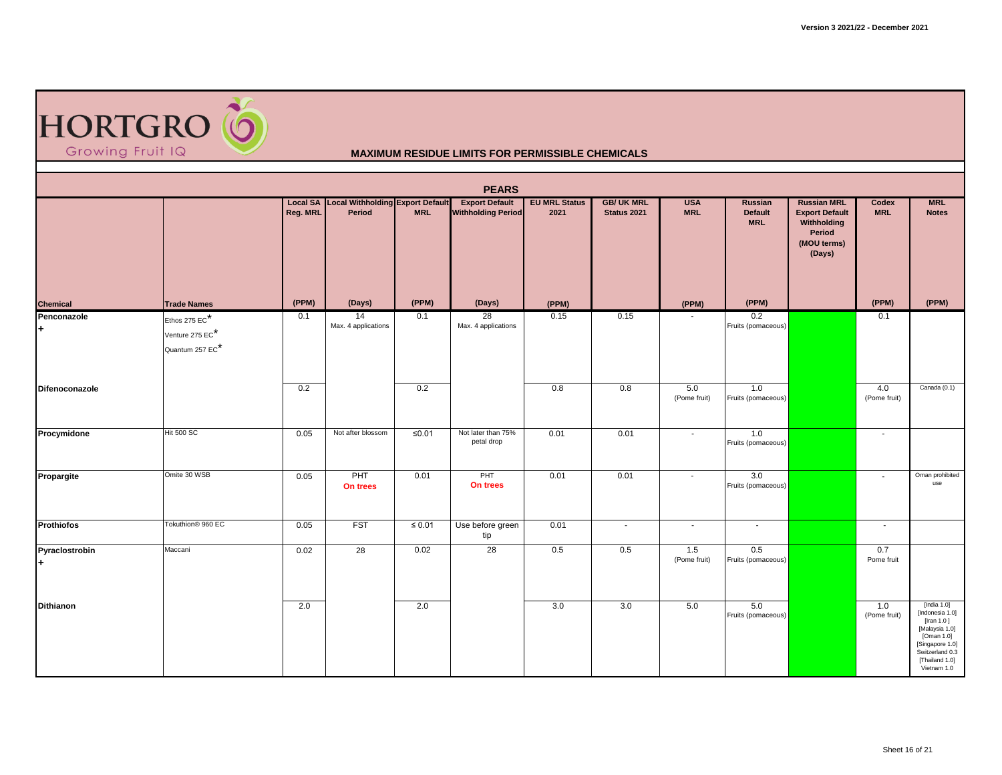

| <b>PEARS</b>         |                                                        |          |                                                            |             |                                                    |                              |                                 |                          |                                         |                                                                                               |                          |                                                                                                                                                        |  |
|----------------------|--------------------------------------------------------|----------|------------------------------------------------------------|-------------|----------------------------------------------------|------------------------------|---------------------------------|--------------------------|-----------------------------------------|-----------------------------------------------------------------------------------------------|--------------------------|--------------------------------------------------------------------------------------------------------------------------------------------------------|--|
|                      |                                                        | Reg. MRL | <b>Local SA</b> Local Withholding Export Default<br>Period | <b>MRL</b>  | <b>Export Default</b><br><b>Withholding Period</b> | <b>EU MRL Status</b><br>2021 | <b>GB/UK MRL</b><br>Status 2021 | <b>USA</b><br><b>MRL</b> | Russian<br><b>Default</b><br><b>MRL</b> | <b>Russian MRL</b><br><b>Export Default</b><br>Withholding<br>Period<br>(MOU terms)<br>(Days) | Codex<br><b>MRL</b>      | <b>MRL</b><br><b>Notes</b>                                                                                                                             |  |
| <b>Chemical</b>      | <b>Trade Names</b>                                     | (PPM)    | (Days)                                                     | (PPM)       | (Days)                                             | (PPM)                        |                                 | (PPM)                    | (PPM)                                   |                                                                                               | (PPM)                    | (PPM)                                                                                                                                                  |  |
| Penconazole<br>l+    | Ethos 275 $EC^*$<br>Venture 275 EC*<br>Quantum 257 EC* | 0.1      | 14<br>Max. 4 applications                                  | 0.1         | 28<br>Max. 4 applications                          | 0.15                         | 0.15                            |                          | 0.2<br>Fruits (pomaceous)               |                                                                                               | 0.1                      |                                                                                                                                                        |  |
| Difenoconazole       |                                                        | 0.2      |                                                            | 0.2         |                                                    | 0.8                          | 0.8                             | 5.0<br>(Pome fruit)      | 1.0<br>Fruits (pomaceous)               |                                                                                               | 4.0<br>(Pome fruit)      | Canada (0.1)                                                                                                                                           |  |
| Procymidone          | <b>Hit 500 SC</b>                                      | 0.05     | Not after blossom                                          | ≤ $0.01$    | Not later than 75%<br>petal drop                   | 0.01                         | 0.01                            | $\sim$                   | 1.0<br>Fruits (pomaceous)               |                                                                                               | $\sim$                   |                                                                                                                                                        |  |
| Propargite           | Omite 30 WSB                                           | 0.05     | PHT<br>On trees                                            | 0.01        | PHT<br>On trees                                    | 0.01                         | 0.01                            | $\sim$                   | 3.0<br>Fruits (pomaceous)               |                                                                                               | $\overline{\phantom{a}}$ | Oman prohibited<br>use                                                                                                                                 |  |
| <b>Prothiofos</b>    | Tokuthion <sup>®</sup> 960 EC                          | 0.05     | <b>FST</b>                                                 | $\leq 0.01$ | Use before green<br>tip                            | 0.01                         | $\blacksquare$                  | $\sim$                   | $\sim$                                  |                                                                                               | $\sim$                   |                                                                                                                                                        |  |
| Pyraclostrobin<br>l+ | Maccani                                                | 0.02     | $\overline{28}$                                            | 0.02        | 28                                                 | 0.5                          | 0.5                             | 1.5<br>(Pome fruit)      | 0.5<br>Fruits (pomaceous)               |                                                                                               | 0.7<br>Pome fruit        |                                                                                                                                                        |  |
| <b>Dithianon</b>     |                                                        | 2.0      |                                                            | 2.0         |                                                    | 3.0                          | 3.0                             | 5.0                      | 5.0<br>Fruits (pomaceous)               |                                                                                               | 1.0<br>(Pome fruit)      | [India $1.0$ ]<br>[Indonesia 1.0]<br>[Iran 1.0]<br>[Malaysia 1.0]<br>[Oman 1.0]<br>[Singapore 1.0]<br>Switzerland 0.3<br>[Thailand 1.0]<br>Vietnam 1.0 |  |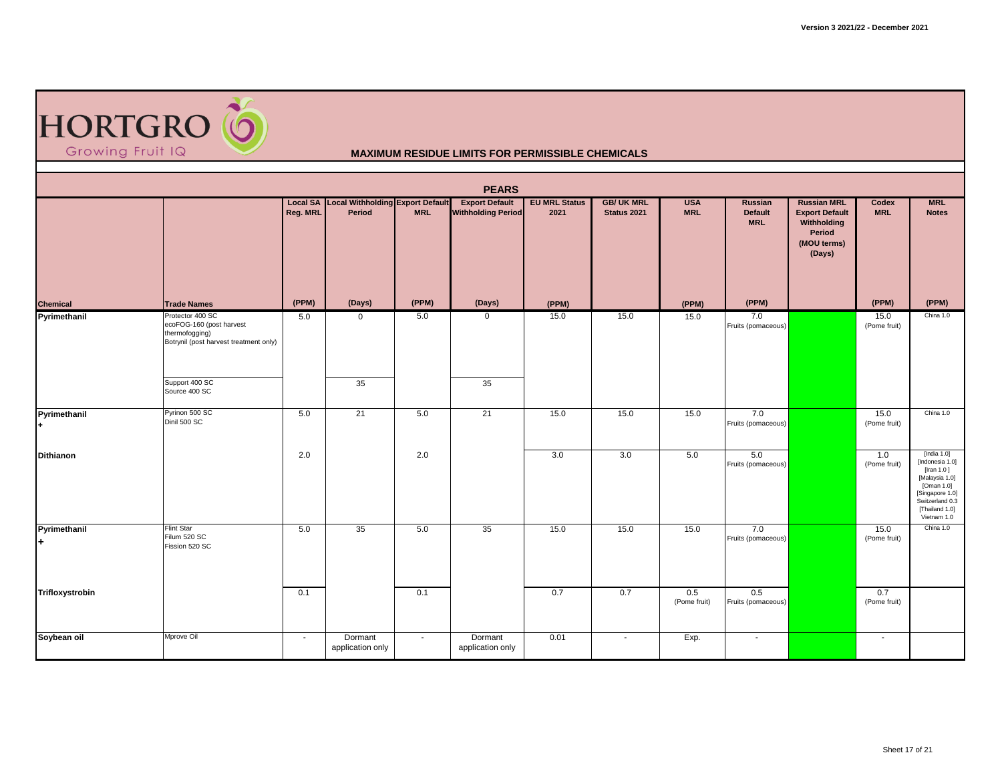

|                    |                                                                                                                            |          |                                                     |            | <b>PEARS</b>                                       |                              |                                  |                          |                                         |                                                                                               |                      |                                                                                                                                                     |
|--------------------|----------------------------------------------------------------------------------------------------------------------------|----------|-----------------------------------------------------|------------|----------------------------------------------------|------------------------------|----------------------------------|--------------------------|-----------------------------------------|-----------------------------------------------------------------------------------------------|----------------------|-----------------------------------------------------------------------------------------------------------------------------------------------------|
|                    |                                                                                                                            | Reg. MRL | Local SA Local Withholding Export Default<br>Period | <b>MRL</b> | <b>Export Default</b><br><b>Withholding Period</b> | <b>EU MRL Status</b><br>2021 | <b>GB/ UK MRL</b><br>Status 2021 | <b>USA</b><br><b>MRL</b> | Russian<br><b>Default</b><br><b>MRL</b> | <b>Russian MRL</b><br><b>Export Default</b><br>Withholding<br>Period<br>(MOU terms)<br>(Days) | Codex<br><b>MRL</b>  | <b>MRL</b><br><b>Notes</b>                                                                                                                          |
| <b>Chemical</b>    | <b>Trade Names</b>                                                                                                         | (PPM)    | (Days)                                              | (PPM)      | (Days)                                             | (PPM)                        |                                  | (PPM)                    | (PPM)                                   |                                                                                               | (PPM)                | (PPM)                                                                                                                                               |
| Pyrimethanil       | Protector 400 SC<br>ecoFOG-160 (post harvest<br>thermofogging)<br>Botrynil (post harvest treatment only)<br>Support 400 SC | 5.0      | $\mathbf 0$<br>35                                   | 5.0        | $\mathbf 0$<br>35                                  | 15.0                         | 15.0                             | 15.0                     | 7.0<br>Fruits (pomaceous)               |                                                                                               | 15.0<br>(Pome fruit) | China 1.0                                                                                                                                           |
|                    | Source 400 SC                                                                                                              |          |                                                     |            |                                                    |                              |                                  |                          |                                         |                                                                                               |                      |                                                                                                                                                     |
| Pyrimethanil       | Pyrinon 500 SC<br>Dinil 500 SC                                                                                             | 5.0      | 21                                                  | 5.0        | 21                                                 | 15.0                         | 15.0                             | 15.0                     | 7.0<br>Fruits (pomaceous)               |                                                                                               | 15.0<br>(Pome fruit) | China 1.0                                                                                                                                           |
| <b>Dithianon</b>   |                                                                                                                            | 2.0      |                                                     | 2.0        |                                                    | 3.0                          | 3.0                              | 5.0                      | 5.0<br>Fruits (pomaceous)               |                                                                                               | 1.0<br>(Pome fruit)  | [India 1.0]<br>[Indonesia 1.0]<br>[Iran 1.0]<br>[Malaysia 1.0]<br>[Oman 1.0]<br>[Singapore 1.0]<br>Switzerland 0.3<br>[Thailand 1.0]<br>Vietnam 1.0 |
| Pyrimethanil<br>l+ | Flint Star<br>Filum 520 SC<br>Fission 520 SC                                                                               | 5.0      | 35                                                  | 5.0        | 35                                                 | 15.0                         | 15.0                             | 15.0                     | 7.0<br>Fruits (pomaceous)               |                                                                                               | 15.0<br>(Pome fruit) | China 1.0                                                                                                                                           |
| Trifloxystrobin    |                                                                                                                            | 0.1      |                                                     | 0.1        |                                                    | 0.7                          | 0.7                              | 0.5<br>(Pome fruit)      | 0.5<br>Fruits (pomaceous)               |                                                                                               | 0.7<br>(Pome fruit)  |                                                                                                                                                     |
| Soybean oil        | Mprove Oil                                                                                                                 | $\sim$   | Dormant<br>application only                         | $\sim$     | Dormant<br>application only                        | 0.01                         | $\overline{\phantom{a}}$         | Exp.                     | $\sim$                                  |                                                                                               | $\sim$               |                                                                                                                                                     |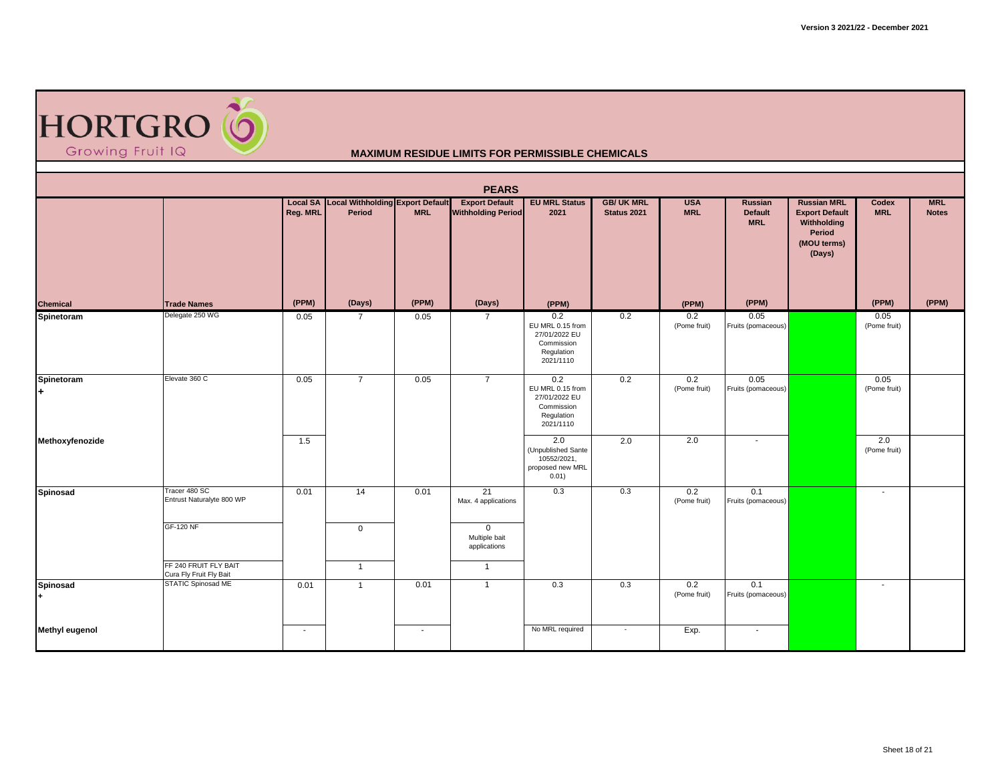

|                       | <b>PEARS</b>                                     |          |                                                     |            |                                                    |                                                                                   |                                  |                          |                                         |                                                                                               |                          |                            |  |  |
|-----------------------|--------------------------------------------------|----------|-----------------------------------------------------|------------|----------------------------------------------------|-----------------------------------------------------------------------------------|----------------------------------|--------------------------|-----------------------------------------|-----------------------------------------------------------------------------------------------|--------------------------|----------------------------|--|--|
|                       |                                                  | Reg. MRL | Local SA Local Withholding Export Default<br>Period | <b>MRL</b> | <b>Export Default</b><br><b>Withholding Period</b> | <b>EU MRL Status</b><br>2021                                                      | <b>GB/ UK MRL</b><br>Status 2021 | <b>USA</b><br><b>MRL</b> | <b>Russian</b><br>Default<br><b>MRL</b> | <b>Russian MRL</b><br><b>Export Default</b><br>Withholding<br>Period<br>(MOU terms)<br>(Days) | Codex<br><b>MRL</b>      | <b>MRL</b><br><b>Notes</b> |  |  |
| <b>Chemical</b>       | <b>Trade Names</b>                               | (PPM)    | (Days)                                              | (PPM)      | (Days)                                             | (PPM)                                                                             |                                  | (PPM)                    | (PPM)                                   |                                                                                               | (PPM)                    | (PPM)                      |  |  |
| Spinetoram            | Delegate 250 WG                                  | 0.05     | 7                                                   | 0.05       | $\overline{7}$                                     | 0.2<br>EU MRL 0.15 from<br>27/01/2022 EU<br>Commission<br>Regulation<br>2021/1110 | 0.2                              | 0.2<br>(Pome fruit)      | 0.05<br>Fruits (pomaceous)              |                                                                                               | 0.05<br>(Pome fruit)     |                            |  |  |
| Spinetoram<br>l÷.     | Elevate 360 C                                    | 0.05     | $\overline{7}$                                      | 0.05       | $\overline{7}$                                     | 0.2<br>EU MRL 0.15 from<br>27/01/2022 EU<br>Commission<br>Regulation<br>2021/1110 | 0.2                              | 0.2<br>(Pome fruit)      | 0.05<br>Fruits (pomaceous)              |                                                                                               | 0.05<br>(Pome fruit)     |                            |  |  |
| Methoxyfenozide       |                                                  | 1.5      |                                                     |            |                                                    | 2.0<br>(Unpublished Sante<br>10552/2021,<br>proposed new MRL<br>0.01)             | 2.0                              | 2.0                      | $\overline{\phantom{a}}$                |                                                                                               | 2.0<br>(Pome fruit)      |                            |  |  |
| <b>Spinosad</b>       | Tracer 480 SC<br>Entrust Naturalyte 800 WP       | 0.01     | 14                                                  | 0.01       | 21<br>Max. 4 applications                          | 0.3                                                                               | 0.3                              | 0.2<br>(Pome fruit)      | 0.1<br>Fruits (pomaceous)               |                                                                                               | $\overline{\phantom{a}}$ |                            |  |  |
|                       | <b>GF-120 NF</b>                                 |          | $\mathbf 0$                                         |            | $\overline{0}$<br>Multiple bait<br>applications    |                                                                                   |                                  |                          |                                         |                                                                                               |                          |                            |  |  |
|                       | FF 240 FRUIT FLY BAIT<br>Cura Fly Fruit Fly Bait |          | $\overline{1}$                                      |            | $\mathbf{1}$                                       |                                                                                   |                                  |                          |                                         |                                                                                               |                          |                            |  |  |
| Spinosad              | <b>STATIC Spinosad ME</b>                        | 0.01     | $\overline{1}$                                      | 0.01       | $\mathbf{1}$                                       | 0.3                                                                               | 0.3                              | 0.2<br>(Pome fruit)      | 0.1<br>Fruits (pomaceous)               |                                                                                               | $\overline{\phantom{a}}$ |                            |  |  |
| <b>Methyl eugenol</b> |                                                  | $\sim$   |                                                     | $\sim$     |                                                    | No MRL required                                                                   | $\cdot$                          | Exp.                     | $\sim$                                  |                                                                                               |                          |                            |  |  |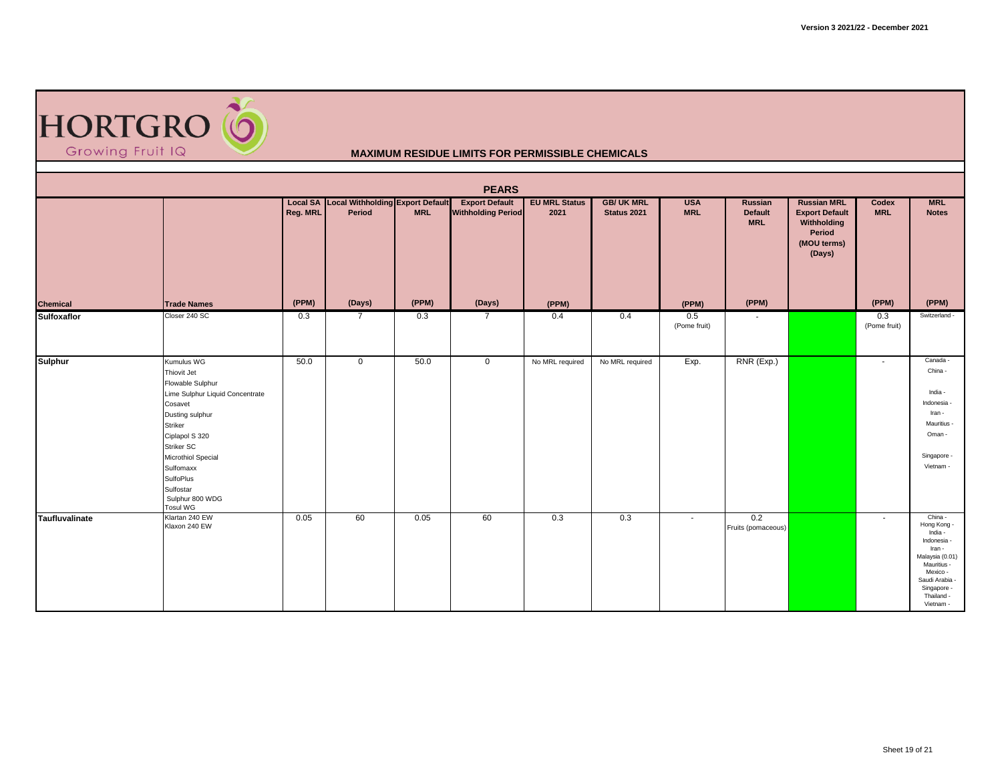

|                       | <b>PEARS</b>                                                                                                                                                                                                                                                 |          |                                                     |            |                                                    |                              |                                 |                          |                                  |                                                                                               |                          |                                                                                                                                                                    |  |  |  |
|-----------------------|--------------------------------------------------------------------------------------------------------------------------------------------------------------------------------------------------------------------------------------------------------------|----------|-----------------------------------------------------|------------|----------------------------------------------------|------------------------------|---------------------------------|--------------------------|----------------------------------|-----------------------------------------------------------------------------------------------|--------------------------|--------------------------------------------------------------------------------------------------------------------------------------------------------------------|--|--|--|
|                       |                                                                                                                                                                                                                                                              | Reg. MRL | Local SA Local Withholding Export Default<br>Period | <b>MRL</b> | <b>Export Default</b><br><b>Withholding Period</b> | <b>EU MRL Status</b><br>2021 | <b>GB/UK MRL</b><br>Status 2021 | <b>USA</b><br><b>MRL</b> | Russian<br>Default<br><b>MRL</b> | <b>Russian MRL</b><br><b>Export Default</b><br>Withholding<br>Period<br>(MOU terms)<br>(Days) | Codex<br><b>MRL</b>      | <b>MRL</b><br><b>Notes</b>                                                                                                                                         |  |  |  |
| <b>Chemical</b>       | <b>Trade Names</b>                                                                                                                                                                                                                                           | (PPM)    | (Days)                                              | (PPM)      | (Days)                                             | (PPM)                        |                                 | (PPM)                    | (PPM)                            |                                                                                               | (PPM)                    | (PPM)                                                                                                                                                              |  |  |  |
| <b>Sulfoxaflor</b>    | Closer 240 SC                                                                                                                                                                                                                                                | 0.3      | $\overline{7}$                                      | 0.3        | $\overline{7}$                                     | 0.4                          | 0.4                             | 0.5<br>(Pome fruit)      | $\sim$                           |                                                                                               | 0.3<br>(Pome fruit)      | Switzerland -                                                                                                                                                      |  |  |  |
| <b>Sulphur</b>        | Kumulus WG<br>Thiovit Jet<br>Flowable Sulphur<br>Lime Sulphur Liquid Concentrate<br>Cosavet<br>Dusting sulphur<br>Striker<br>Ciplapol S 320<br>Striker SC<br>Microthiol Special<br>Sulfomaxx<br>SulfoPlus<br>Sulfostar<br>Sulphur 800 WDG<br><b>Tosul WG</b> | 50.0     | $\overline{0}$                                      | 50.0       | $\mathbf{0}$                                       | No MRL required              | No MRL required                 | Exp.                     | RNR (Exp.)                       |                                                                                               | $\overline{\phantom{a}}$ | Canada -<br>China -<br>India -<br>Indonesia -<br>Iran -<br>Mauritius -<br>Oman-<br>Singapore -<br>Vietnam -                                                        |  |  |  |
| <b>Taufluvalinate</b> | Klartan 240 EW<br>Klaxon 240 EW                                                                                                                                                                                                                              | 0.05     | 60                                                  | 0.05       | 60                                                 | 0.3                          | 0.3                             | $\overline{\phantom{a}}$ | 0.2<br>Fruits (pomaceous)        |                                                                                               | $\sim$                   | China -<br>Hong Kong -<br>India -<br>Indonesia -<br>Iran -<br>Malaysia (0.01)<br>Mauritius -<br>Mexico -<br>Saudi Arabia<br>Singapore -<br>Thailand -<br>Vietnam - |  |  |  |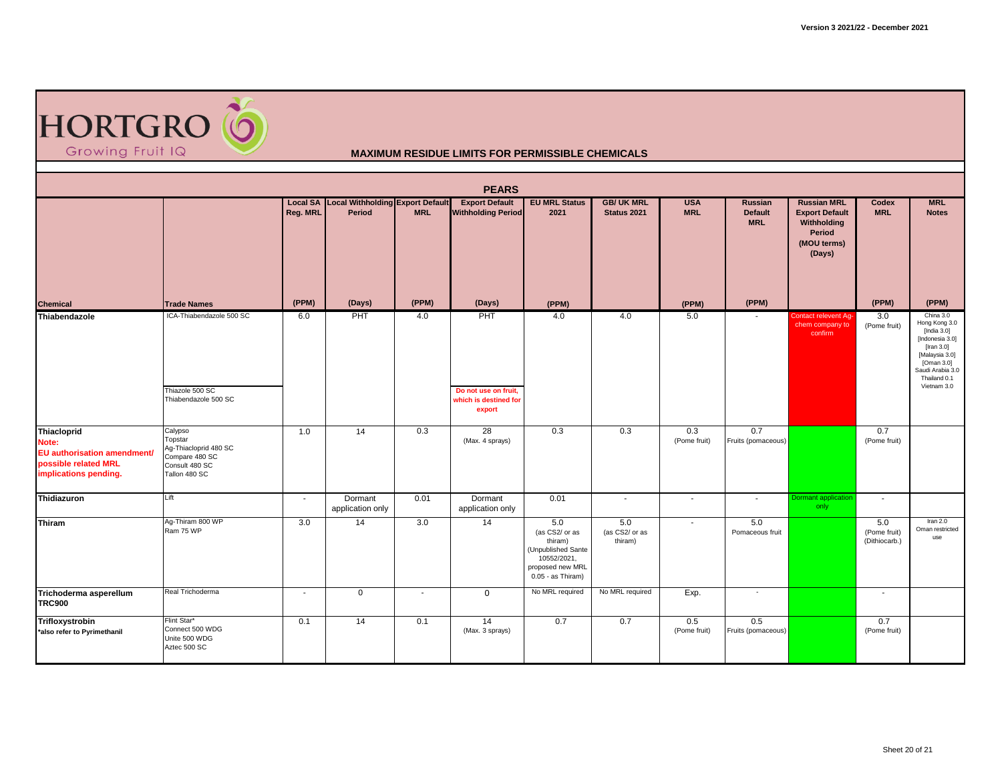

| <b>PEARS</b>                                                                                                |                                                                                                  |                             |                                                   |                          |                                                                |                                                                                                                  |                                  |                          |                                                |                                                                                               |                                      |                                                                                                                                                               |  |
|-------------------------------------------------------------------------------------------------------------|--------------------------------------------------------------------------------------------------|-----------------------------|---------------------------------------------------|--------------------------|----------------------------------------------------------------|------------------------------------------------------------------------------------------------------------------|----------------------------------|--------------------------|------------------------------------------------|-----------------------------------------------------------------------------------------------|--------------------------------------|---------------------------------------------------------------------------------------------------------------------------------------------------------------|--|
|                                                                                                             |                                                                                                  | <b>Local SA</b><br>Reg. MRL | <b>Local Withholding Export Default</b><br>Period | <b>MRL</b>               | <b>Export Default</b><br><b>Withholding Period</b>             | <b>EU MRL Status</b><br>2021                                                                                     | <b>GB/ UK MRL</b><br>Status 2021 | <b>USA</b><br><b>MRL</b> | <b>Russian</b><br><b>Default</b><br><b>MRL</b> | <b>Russian MRL</b><br><b>Export Default</b><br>Withholding<br>Period<br>(MOU terms)<br>(Days) | Codex<br><b>MRL</b>                  | <b>MRL</b><br><b>Notes</b>                                                                                                                                    |  |
| <b>Chemical</b>                                                                                             | <b>Trade Names</b>                                                                               | (PPM)                       | (Days)                                            | (PPM)                    | (Days)                                                         | (PPM)                                                                                                            |                                  | (PPM)                    | (PPM)                                          |                                                                                               | (PPM)                                | (PPM)                                                                                                                                                         |  |
| Thiabendazole                                                                                               | ICA-Thiabendazole 500 SC<br>Thiazole 500 SC<br>Thiabendazole 500 SC                              | 6.0                         | PHT                                               | 4.0                      | PHT<br>Do not use on fruit,<br>which is destined for<br>export | 4.0                                                                                                              | 4.0                              | 5.0                      | $\overline{\phantom{a}}$                       | Contact relevent Ag-<br>chem company to<br>confirm                                            | 3.0<br>(Pome fruit)                  | China 3.0<br>Hong Kong 3.0<br>[India 3.0]<br>[Indonesia 3.0]<br>[Iran 3.0]<br>[Malaysia 3.0]<br>[Oman 3.0]<br>Saudi Arabia 3.0<br>Thailand 0.1<br>Vietnam 3.0 |  |
| <b>Thiacloprid</b><br>Note:<br>EU authorisation amendment/<br>possible related MRL<br>implications pending. | Calypso<br>Topstar<br>Ag-Thiacloprid 480 SC<br>Compare 480 SC<br>Consult 480 SC<br>Tallon 480 SC | 1.0                         | 14                                                | 0.3                      | 28<br>(Max. 4 sprays)                                          | 0.3                                                                                                              | 0.3                              | 0.3<br>(Pome fruit)      | 0.7<br>Fruits (pomaceous)                      |                                                                                               | 0.7<br>(Pome fruit)                  |                                                                                                                                                               |  |
| Thidiazuron                                                                                                 | Lift                                                                                             | $\overline{\phantom{a}}$    | Dormant<br>application only                       | 0.01                     | Dormant<br>application only                                    | 0.01                                                                                                             | $\sim$                           | $\sim$                   | $\blacksquare$                                 | <b>Dormant</b> application<br>only                                                            | $\sim$                               |                                                                                                                                                               |  |
| Thiram                                                                                                      | Ag-Thiram 800 WP<br>Ram 75 WP                                                                    | 3.0                         | 14                                                | 3.0                      | 14                                                             | 5.0<br>(as CS2/ or as<br>thiram)<br>(Unpublished Sante<br>10552/2021,<br>proposed new MRL<br>$0.05 - as Thiram)$ | 5.0<br>(as CS2/ or as<br>thiram) | $\blacksquare$           | 5.0<br>Pomaceous fruit                         |                                                                                               | 5.0<br>(Pome fruit)<br>(Dithiocarb.) | Iran $2.0$<br>Oman restricted<br>use                                                                                                                          |  |
| Trichoderma asperellum<br><b>TRC900</b>                                                                     | Real Trichoderma                                                                                 | $\overline{\phantom{a}}$    | $\mathbf 0$                                       | $\overline{\phantom{a}}$ | $\mathbf 0$                                                    | No MRL required                                                                                                  | No MRL required                  | Exp.                     | ٠                                              |                                                                                               |                                      |                                                                                                                                                               |  |
| Trifloxystrobin<br>*also refer to Pyrimethanil                                                              | Flint Star*<br>Connect 500 WDG<br>Unite 500 WDG<br>Aztec 500 SC                                  | 0.1                         | 14                                                | 0.1                      | 14<br>(Max. 3 sprays)                                          | 0.7                                                                                                              | 0.7                              | 0.5<br>(Pome fruit)      | 0.5<br>Fruits (pomaceous)                      |                                                                                               | 0.7<br>(Pome fruit)                  |                                                                                                                                                               |  |